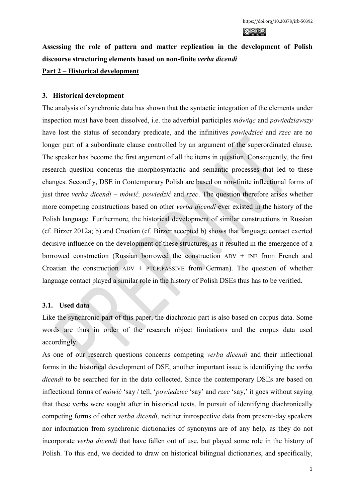**Assessing the role of pattern and matter replication in the development of Polish discourse structuring elements based on non-finite** *verba dicendi*

## **Part 2 – Historical development**

## **3. Historical development**

The analysis of synchronic data has shown that the syntactic integration of the elements under inspection must have been dissolved, i.e. the adverbial participles *mówiąc* and *powiedziawszy* have lost the status of secondary predicate, and the infinitives *powiedzieć* and *rzec* are no longer part of a subordinate clause controlled by an argument of the superordinated clause. The speaker has become the first argument of all the items in question. Consequently, the first research question concerns the morphosyntactic and semantic processes that led to these changes. Secondly, DSE in Contemporary Polish are based on non-finite inflectional forms of just three *verba dicendi* – *mówić, powiedzić* and *rzec*. The question therefore arises whether more competing constructions based on other *verba dicendi* ever existed in the history of the Polish language. Furthermore, the historical development of similar constructions in Russian (cf. Birzer 2012a; b) and Croatian (cf. Birzer accepted b) shows that language contact exerted decisive influence on the development of these structures, as it resulted in the emergence of a borrowed construction (Russian borrowed the construction ADV + INF from French and Croatian the construction  $ADV$  + PTCP.PASSIVE from German). The question of whether language contact played a similar role in the history of Polish DSEs thus has to be verified.

## **3.1. Used data**

Like the synchronic part of this paper, the diachronic part is also based on corpus data. Some words are thus in order of the research object limitations and the corpus data used accordingly.

As one of our research questions concerns competing *verba dicendi* and their inflectional forms in the historical development of DSE, another important issue is identifiying the *verba dicendi* to be searched for in the data collected. Since the contemporary DSEs are based on inflectional forms of *mówić* 'say / tell, '*powiedzieć* 'say' and *rzec* 'say,' it goes without saying that these verbs were sought after in historical texts. In pursuit of identifying diachronically competing forms of other *verba dicendi*, neither introspective data from present-day speakers nor information from synchronic dictionaries of synonyms are of any help, as they do not incorporate *verba dicendi* that have fallen out of use, but played some role in the history of Polish. To this end, we decided to draw on historical bilingual dictionaries, and specifically,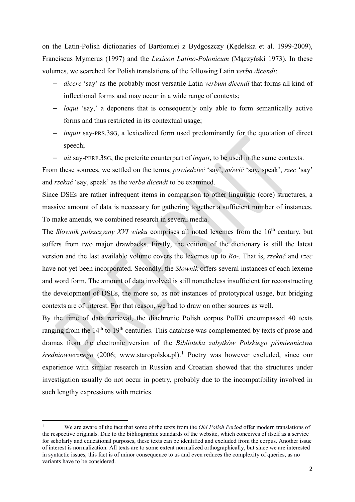on the Latin-Polish dictionaries of Bartłomiej z Bydgoszczy (Kędelska et al. 1999-2009), Franciscus Mymerus (1997) and the *Lexicon Latino-Polonicum* (Mączyński 1973). In these volumes, we searched for Polish translations of the following Latin *verba dicendi*:

- *dicere* 'say' as the probably most versatile Latin *verbum dicendi* that forms all kind of inflectional forms and may occur in a wide range of contexts;
- *loqui* 'say,' a deponens that is consequently only able to form semantically active forms and thus restricted in its contextual usage;
- *inquit* say-PRS.3SG, a lexicalized form used predominantly for the quotation of direct speech;
- *ait* say-PERF.3SG, the preterite counterpart of *inquit*, to be used in the same contexts.

From these sources, we settled on the terms, *powiedzieć* 'say', *mówić* 'say, speak', *rzec* 'say' and *rzekać* 'say, speak' as the *verba dicendi* to be examined.

Since DSEs are rather infrequent items in comparison to other linguistic (core) structures, a massive amount of data is necessary for gathering together a sufficient number of instances. To make amends, we combined research in several media.

The *Słownik polszczyzny XVI wieku* comprises all noted lexemes from the 16<sup>th</sup> century, but suffers from two major drawbacks. Firstly, the edition of the dictionary is still the latest version and the last available volume covers the lexemes up to *Ro*-. That is, *rzekać* and *rzec* have not yet been incorporated. Secondly, the *Słownik* offers several instances of each lexeme and word form. The amount of data involved is still nonetheless insufficient for reconstructing the development of DSEs, the more so, as not instances of prototypical usage, but bridging contexts are of interest. For that reason, we had to draw on other sources as well.

By the time of data retrieval, the diachronic Polish corpus PolDi encompassed 40 texts ranging from the 14<sup>th</sup> to 19<sup>th</sup> centuries. This database was complemented by texts of prose and dramas from the electronic version of the *Biblioteka zabytków Polskiego piśmiennictwa średniowiecznego* (2006; www.staropolska.pl).[1](#page-1-0) Poetry was however excluded, since our experience with similar research in Russian and Croatian showed that the structures under investigation usually do not occur in poetry, probably due to the incompatibility involved in such lengthy expressions with metrics.

<span id="page-1-0"></span><sup>1</sup> We are aware of the fact that some of the texts from the *Old Polish Period* offer modern translations of the respective originals. Due to the bibliographic standards of the website, which conceives of itself as a service for scholarly and educational purposes, these texts can be identified and excluded from the corpus. Another issue of interest is normalization. All texts are to some extent normalized orthographically, but since we are interested in syntactic issues, this fact is of minor consequence to us and even reduces the complexity of queries, as no variants have to be considered.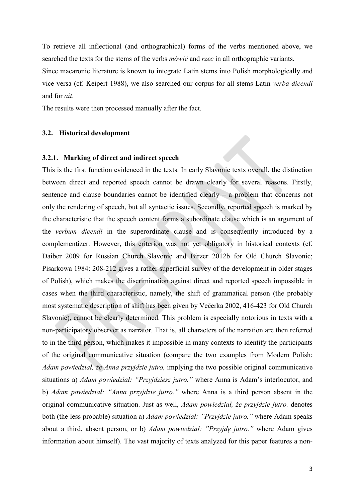To retrieve all inflectional (and orthographical) forms of the verbs mentioned above, we searched the texts for the stems of the verbs *mówić* and *rzec* in all orthographic variants.

Since macaronic literature is known to integrate Latin stems into Polish morphologically and vice versa (cf. Keipert 1988), we also searched our corpus for all stems Latin *verba dicendi* and for *ait*.

The results were then processed manually after the fact.

#### **3.2. Historical development**

## **3.2.1. Marking of direct and indirect speech**

This is the first function evidenced in the texts. In early Slavonic texts overall, the distinction between direct and reported speech cannot be drawn clearly for several reasons. Firstly, sentence and clause boundaries cannot be identified clearly – a problem that concerns not only the rendering of speech, but all syntactic issues. Secondly, reported speech is marked by the characteristic that the speech content forms a subordinate clause which is an argument of the *verbum dicendi* in the superordinate clause and is consequently introduced by a complementizer. However, this criterion was not yet obligatory in historical contexts (cf. Daiber 2009 for Russian Church Slavonic and Birzer 2012b for Old Church Slavonic; Pisarkowa 1984: 208-212 gives a rather superficial survey of the development in older stages of Polish), which makes the discrimination against direct and reported speech impossible in cases when the third characteristic, namely, the shift of grammatical person (the probably most systematic description of shift has been given by Večerka 2002, 416-423 for Old Church Slavonic), cannot be clearly determined. This problem is especially notorious in texts with a non-participatory observer as narrator. That is, all characters of the narration are then referred to in the third person, which makes it impossible in many contexts to identify the participants of the original communicative situation (compare the two examples from Modern Polish: *Adam powiedział, że Anna przyjdzie jutro,* implying the two possible original communicative situations a) *Adam powiedział: "Przyjdziesz jutro."* where Anna is Adam's interlocutor, and b) *Adam powiedział: "Anna przyjdzie jutro."* where Anna is a third person absent in the original communicative situation. Just as well, *Adam powiedział, że przyjdzie jutro.* denotes both (the less probable) situation a) *Adam powiedział: "Przyjdzie jutro."* where Adam speaks about a third, absent person, or b) *Adam powiedział: "Przyjdę jutro."* where Adam gives information about himself). The vast majority of texts analyzed for this paper features a non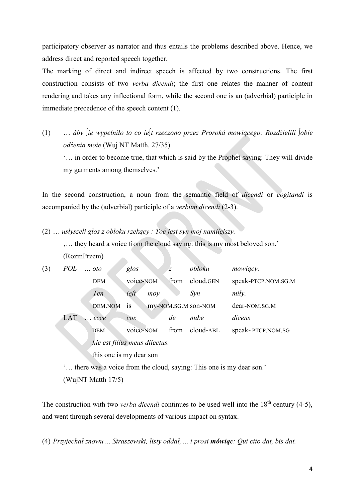participatory observer as narrator and thus entails the problems described above. Hence, we address direct and reported speech together.

The marking of direct and indirect speech is affected by two constructions. The first construction consists of two *verba dicendi*; the first one relates the manner of content rendering and takes any inflectional form, while the second one is an (adverbial) participle in immediate precedence of the speech content (1).

(1) … *áby ∫ię wypełniło to co ie∫t rzeczono przez Proroká mowiącego: Rozdźielili ∫obie odźenia moie* (Wuj NT Matth. 27/35) '… in order to become true, that which is said by the Prophet saying: They will divide my garments among themselves.'

In the second construction, a noun from the semantic field of *dicendi* or *cogitandi* is accompanied by the (adverbial) participle of a *verbum dicendi* (2-3).

(2) … *usłyszeli głos z obłoku rzekący : Toć jest syn moj namilejszy.*  '… they heard a voice from the cloud saying: this is my most beloved son.' (RozmPrzem)

| (3) | POL | $\ldots$ oto | $g$ <i>los</i>                | $\overline{z}$ | obłoku              | mowiący:            |
|-----|-----|--------------|-------------------------------|----------------|---------------------|---------------------|
|     |     | <b>DEM</b>   | voice-NOM                     | from           | cloud.GEN           | speak-PTCP.NOM.SG.M |
|     |     | Ten          | ieft<br>moy                   |                | Syn                 | mily.               |
|     |     | DEM.NOM      | is                            |                | my-NOM.SG.M son-NOM | dear-NOM.SG.M       |
|     | LAT | ecce         | $\mathcal{V}OX$               | de             | nube                | dicens              |
|     |     | <b>DEM</b>   | voice-NOM                     | from           | cloud-ABL           | speak-PTCP.NOM.SG   |
|     |     |              | hic est filius meus dilectus. |                |                     |                     |
|     |     |              | this one is my dear son       |                |                     |                     |

'… there was a voice from the cloud, saying: This one is my dear son.'

(WujNT Matth 17/5)

The construction with two *verba dicendi* continues to be used well into the 18<sup>th</sup> century (4-5), and went through several developments of various impact on syntax.

(4) *Przyjechał znowu ... Straszewski, listy oddał, ... i prosi mówiąc: Qui cito dat, bis dat.*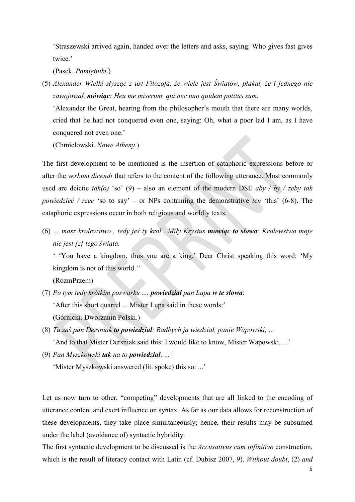'Straszewski arrived again, handed over the letters and asks, saying: Who gives fast gives twice.'

(Pasek. *Pamiętniki*.)

(5) *Alexander Wielki słysząc z ust Filozofa, że wiele jest Światów, płakał, że i jednego nie zawojował, mówiąc: Heu me miserum, qui nec uno quidem potitus sum*.

'Alexander the Great, hearing from the philosopher's mouth that there are many worlds, cried that he had not conquered even one, saying: Oh, what a poor lad I am, as I have conquered not even one.'

(Chmielowski. *Nowe Atheny*.)

The first development to be mentioned is the insertion of cataphoric expressions before or after the *verbum dicendi* that refers to the content of the following utterance. Most commonly used are deictic *tak(o)* 'so' (9) – also an element of the modern DSE *aby / by / żeby tak powiedzieć / rzec* 'so to say' – or NPs containing the demonstrative *ten* 'this' (6-8). The cataphoric expressions occur in both religious and worldly texts.

(6) *… masz krolewstwo , tedy jeś ty krol . Miły Krystus mowiąc to słowo: Krolewstwo moje nie jest [z] tego świata.* 

' 'You have a kingdom, thus you are a king.' Dear Christ speaking this word: 'My kingdom is not of this world.''

(RozmPrzem)

- (7) *Po tym tedy krótkim poswarku .... powiedział pan Lupa w te słowa*: 'After this short quarrel ... Mister Lupa said in these words:' (Górnicki. Dworzanin Polski.)
- (8) *Tu zaś pan Dersniak to powiedział: Radbych ja wiedział, panie Wapowski,* ... 'And to that Mister Dersniak said this: I would like to know, Mister Wapowski, ...'
- (9) *Pan Myszkowski tak na to powiedział: ...'* 'Mister Myszkowski answered (lit. spoke) this so: ...'

Let us now turn to other, "competing" developments that are all linked to the encoding of utterance content and exert influence on syntax. As far as our data allows for reconstruction of these developments, they take place simultaneously; hence, their results may be subsumed under the label (avoidance of) syntactic hybridity.

The first syntactic development to be discussed is the *Accusativus cum infinitivo* construction, which is the result of literacy contact with Latin (cf. Dubisz 2007, 9). *Without doubt*, (2) *and*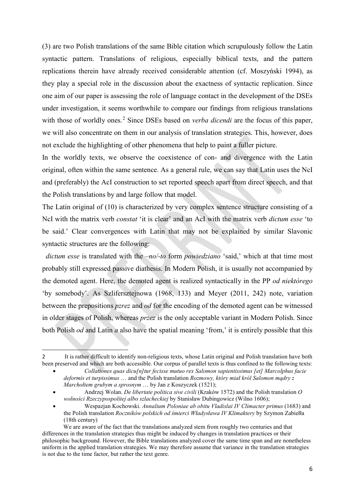(3) are two Polish translations of the same Bible citation which scrupulously follow the Latin syntactic pattern. Translations of religious, especially biblical texts, and the pattern replications therein have already received considerable attention (cf. Moszyński 1994), as they play a special role in the discussion about the exactness of syntactic replication. Since one aim of our paper is assessing the role of language contact in the development of the DSEs under investigation, it seems worthwhile to compare our findings from religious translations with those of worldly ones.<sup>[2](#page-5-0)</sup> Since DSEs based on *verba dicendi* are the focus of this paper, we will also concentrate on them in our analysis of translation strategies. This, however, does not exclude the highlighting of other phenomena that help to paint a fuller picture.

In the worldly texts, we observe the coexistence of con- and divergence with the Latin original, often within the same sentence. As a general rule, we can say that Latin uses the NcI and (preferably) the AcI construction to set reported speech apart from direct speech, and that the Polish translations by and large follow that model.

The Latin original of (10) is characterized by very complex sentence structure consisting of a NcI with the matrix verb *constat* 'it is clear' and an AcI with the matrix verb *dictum esse* 'to be said.' Clear convergences with Latin that may not be explained by similar Slavonic syntactic structures are the following:

 *dictum esse* is translated with the *–no/-to* form *powiedziano* 'said,' which at that time most probably still expressed passive diathesis. In Modern Polish, it is usually not accompanied by the demoted agent. Here, the demoted agent is realized syntactically in the PP *od niektórego* 'by somebody'. As Szlifersztejnowa (1968, 133) and Meyer (2011, 242) note, variation between the prepositions *pzrez* and *od* for the encoding of the demoted agent can be witnessed in older stages of Polish, whereas *przez* is the only acceptable variant in Modern Polish. Since both Polish *od* and Latin *a* also have the spatial meaning 'from,' it is entirely possible that this

<span id="page-5-0"></span><sup>2</sup> It is rather difficult to identify non-religious texts, whose Latin original and Polish translation have both been preserved and which are both accessible. Our corpus of parallel texts is thus confined to the following texts:

<sup>•</sup> *Collationes quas dicu[n]tur fecisse mutuo rex Salomon sapientissimus [et] Marcolphus facie deformis et turpissimus* … and the Polish translation *Rozmowy, który miał król Salomon mądry z Marchołtem grubym a sprosnym* … by Jan z Koszyczek (1521);

<sup>•</sup> Andrzej Wolan. *De libertate politica sive civili* (Kraków 1572) and the Polish translation *O wolności Rzeczypospolitej albo szlacheckiej* by Stanisław Dubingowicz (Wilno 1606);

<sup>•</sup> Wespazjan Kochowski. *Annalium Poloniae ab obitu Vladislai IV Climacter primus* (1683) and the Polish translation *[Roczników polskich od śmierci Władysława IV Klimaktery](http://pl.wikipedia.org/w/index.php?title=Klimaktery&action=edit&redlink=1)* by Szymon Zabiełła (18th century)

We are aware of the fact that the translations analyzed stem from roughly two centuries and that differences in the translation strategies thus might be induced by changes in translation practices or their philosophic background. However, the Bible translations analyzed cover the same time span and are nonetheless uniform in the applied translation strategies. We may therefore assume that variance in the translation strategies is not due to the time factor, but rather the text genre.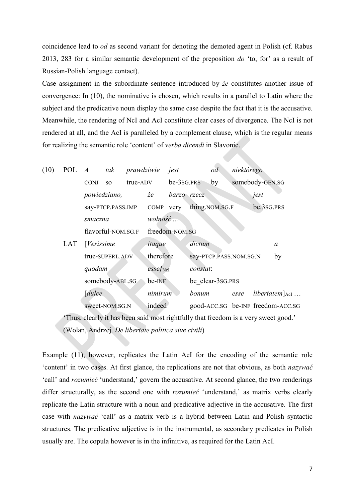coincidence lead to *od* as second variant for denoting the demoted agent in Polish (cf. Rabus 2013, 283 for a similar semantic development of the preposition *do* 'to, for' as a result of Russian-Polish language contact).

Case assignment in the subordinate sentence introduced by *że* constitutes another issue of convergence: In (10), the nominative is chosen, which results in a parallel to Latin where the subject and the predicative noun display the same case despite the fact that it is the accusative. Meanwhile, the rendering of NcI and AcI constitute clear cases of divergence. The NcI is not rendered at all, and the AcI is paralleled by a complement clause, which is the regular means for realizing the semantic role 'content' of *verba dicendi* in Slavonic.

| (10) |     | POL A tak   |                    | prawdziwie |                           | jest           | od                     |      | niektórego |                 |                                   |
|------|-----|-------------|--------------------|------------|---------------------------|----------------|------------------------|------|------------|-----------------|-----------------------------------|
|      |     | <b>CONJ</b> | <b>SO</b>          | true-ADV   |                           | be-3sG.PRS     | by                     |      |            | somebody-GEN.SG |                                   |
|      |     |             | powiedziano,       |            | że                        | barzo rzecz    |                        |      |            | jest            |                                   |
|      |     |             | say-PTCP.PASS.IMP  |            | COMP very                 |                | thing.NOM.SG.F         |      |            | be.3sg.PRS      |                                   |
|      |     | smaczna     |                    |            | $wolno\acute{s}\acute{c}$ |                |                        |      |            |                 |                                   |
|      |     |             | flavorful-NOM.SG.F |            |                           | freedom-NOM.SG |                        |      |            |                 |                                   |
|      | LAT | [Verissime] |                    |            | itaque                    |                | dictum                 |      |            |                 | a                                 |
|      |     |             | true-SUPERL.ADV    |            | therefore                 |                | say-PTCP.PASS.NOM.SG.N |      |            |                 | by                                |
|      |     | quodam      |                    |            | $\emph{esse}$ [NcI        |                | constat:               |      |            |                 |                                   |
|      |     |             | somebody-ABL.SG    |            | be-INF                    |                | be clear-3sG.PRS       |      |            |                 |                                   |
|      |     | [du ce]     |                    |            | nimirum                   |                | bonum                  | esse |            |                 | <i>libertatem</i> $_{\text{AcI}}$ |
|      |     |             | sweet-NOM.SG.N     |            | indeed                    |                |                        |      |            |                 | good-ACC.SG be-INF freedom-ACC.SG |
|      |     |             |                    |            |                           |                |                        |      |            |                 |                                   |

'Thus, clearly it has been said most rightfully that freedom is a very sweet good.' (Wolan, Andrzej. *De libertate politica sive civili*)

Example (11), however, replicates the Latin AcI for the encoding of the semantic role 'content' in two cases. At first glance, the replications are not that obvious, as both *nazywać* 'call' and *rozumieć* 'understand,' govern the accusative. At second glance, the two renderings differ structurally, as the second one with *rozumieć* 'understand,' as matrix verbs clearly replicate the Latin structure with a noun and predicative adjective in the accusative. The first case with *nazywać* 'call' as a matrix verb is a hybrid between Latin and Polish syntactic structures. The predicative adjective is in the instrumental, as secondary predicates in Polish usually are. The copula however is in the infinitive, as required for the Latin AcI.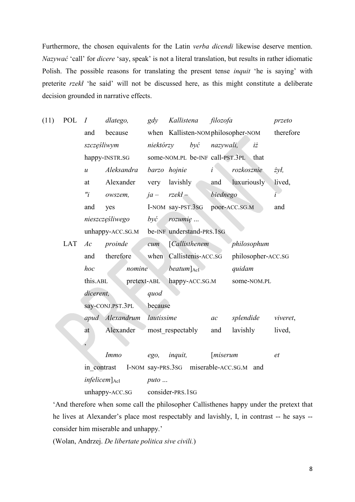Furthermore, the chosen equivalents for the Latin *verba dicendi* likewise deserve mention. *Nazywać* 'call' for *dicere* 'say, speak' is not a literal translation, but results in rather idiomatic Polish. The possible reasons for translating the present tense *inquit* 'he is saying' with preterite *rzekł* 'he said' will not be discussed here, as this might constitute a deliberate decision grounded in narrative effects.

| (11) | POL | I                          | dlatego,         | gdy           | Kallistena                           |              | filozofa           |                                      | przeto        |
|------|-----|----------------------------|------------------|---------------|--------------------------------------|--------------|--------------------|--------------------------------------|---------------|
|      |     | and                        | because          |               | when Kallisten-NOM philosopher-NOM   |              |                    |                                      | therefore     |
|      |     | szczęśliwym                |                  | niektórzy     | byc                                  |              | nazywali,          | $i\dot{z}$                           |               |
|      |     | happy-INSTR.SG             |                  |               |                                      |              |                    | some-NOM.PL be-INF call-PST.3PL that |               |
|      |     | $\mathcal{U}$              | Aleksandra       |               | barzo hojnie                         | $\mathbf{i}$ |                    | rozkosznie                           | $\dot{z}$ ył, |
|      |     | at                         | Alexander        | very          | lavishly                             |              | and                | luxuriously                          | lived,        |
|      |     | $r_i$                      | owszem,          |               | $ja - rzekl -$                       |              | biednego           |                                      | $\ddot{i}$    |
|      |     | and                        | yes              |               | I-NOM say-PST.3SG                    |              |                    | poor-ACC.SG.M                        | and           |
|      |     |                            | nieszczęśliwego  | $by\acute{c}$ | rozumię                              |              |                    |                                      |               |
|      |     | unhappy-ACC.SG.M           |                  |               | be-INF understand-PRS.1SG            |              |                    |                                      |               |
|      | LAT | Ac                         | proinde          | cum           | [Callisthenem]                       |              |                    | philosophum                          |               |
|      |     | and                        | therefore        |               | when Callistenis-ACC.SG              |              |                    | philosopher-ACC.SG                   |               |
|      |     | hoc                        | nomine           |               | $beatum$ <sub>AcI</sub>              |              |                    | quidam                               |               |
|      |     | this.ABL                   | pretext-ABL      |               | happy-ACC.SG.M                       |              |                    | some-NOM.PL                          |               |
|      |     | dicerent,                  |                  | quod          |                                      |              |                    |                                      |               |
|      |     |                            | say-CONJ.PST.3PL | because       |                                      |              |                    |                                      |               |
|      |     |                            | apud Alexandrum  | lautissime    |                                      |              | ac                 | splendide                            | viveret,      |
|      |     | at                         | Alexander        |               | most respectably                     |              | and                | lavishly                             | lived,        |
|      |     | $\overline{\phantom{a}}$   |                  |               |                                      |              |                    |                                      |               |
|      |     |                            | <i>Immo</i>      | ego,          | <i>inquit,</i>                       |              | [ <i>miserum</i> ] |                                      | et            |
|      |     | in contrast                |                  |               | I-NOM say-PRS.3sG miserable-ACC.SG.M |              |                    | and                                  |               |
|      |     | $infelicem$ <sub>AcI</sub> |                  | $puto$        |                                      |              |                    |                                      |               |
|      |     |                            | unhappy-ACC.SG   |               | consider-PRS.1SG                     |              |                    |                                      |               |

'And therefore when some call the philosopher Callisthenes happy under the pretext that he lives at Alexander's place most respectably and lavishly, I, in contrast -- he says - consider him miserable and unhappy.'

(Wolan, Andrzej. *De libertate politica sive civili.*)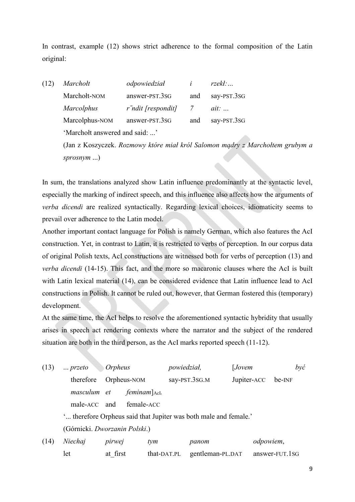In contrast, example (12) shows strict adherence to the formal composition of the Latin original:

(12) *Marchołt odpowiedział i rzekł:…* Marchołt-NOM answer-PST.3SG and say-PST.3SG *Marcolphus rˉndit [respondit] 7 ait: …*  Marcolphus-NOM answer-PST.3sG and say-PST.3sG 'Marchołt answered and said: ...' (Jan z Koszyczek. *Rozmowy które miał król Salomon mądry z Marchołtem grubym a* 

*sprosnym* ...)

In sum, the translations analyzed show Latin influence predominantly at the syntactic level, especially the marking of indirect speech, and this influence also affects how the arguments of *verba dicendi* are realized syntactically. Regarding lexical choices, idiomaticity seems to prevail over adherence to the Latin model.

Another important contact language for Polish is namely German, which also features the AcI construction. Yet, in contrast to Latin, it is restricted to verbs of perception. In our corpus data of original Polish texts, AcI constructions are witnessed both for verbs of perception (13) and *verba dicendi* (14-15). This fact, and the more so macaronic clauses where the AcI is built with Latin lexical material (14), can be considered evidence that Latin influence lead to AcI constructions in Polish. It cannot be ruled out, however, that German fostered this (temporary) development.

At the same time, the AcI helps to resolve the aforementioned syntactic hybridity that usually arises in speech act rendering contexts where the narrator and the subject of the rendered situation are both in the third person, as the AcI marks reported speech (11-12).

| (13) | <i>Orpheus</i><br>$$ przeto                                      |             |                                 | <i>powiedział,</i> | [Jovem           | $b$ yć         |  |
|------|------------------------------------------------------------------|-------------|---------------------------------|--------------------|------------------|----------------|--|
|      | therefore                                                        | Orpheus-NOM |                                 | say-PST.3SG.M      | Jupiter-ACC      | be-INF         |  |
|      | masculum et                                                      |             | $f$ eminam $]$ <sub>AcI</sub> . |                    |                  |                |  |
|      | male-ACC and                                                     |             | female-ACC                      |                    |                  |                |  |
|      | ' therefore Orpheus said that Jupiter was both male and female.' |             |                                 |                    |                  |                |  |
|      | (Górnicki. Dworzanin Polski.)                                    |             |                                 |                    |                  |                |  |
| (14) | Niechaj                                                          | pirwej      | tym                             | panom              |                  | odpowiem,      |  |
|      | let                                                              | at first    | that-DAT.PL                     |                    | gentleman-PL.DAT | answer-FUT.1sG |  |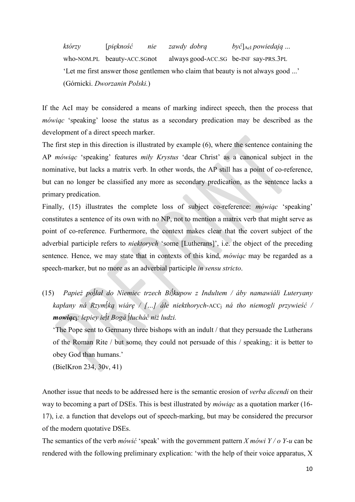*którzy* [*piękność nie zawdy dobrą być*]AcI *powiedają* ... who-NOM.PL beauty-ACC.SGnot always good-ACC.SG be-INF say-PRS.3PL 'Let me first answer those gentlemen who claim that beauty is not always good ...' (Górnicki. *Dworzanin Polski.*)

If the AcI may be considered a means of marking indirect speech, then the process that *mówiąc* 'speaking' loose the status as a secondary predication may be described as the development of a direct speech marker.

The first step in this direction is illustrated by example (6), where the sentence containing the AP *mówiąc* 'speaking' features *miły Krystus* 'dear Christ' as a canonical subject in the nominative, but lacks a matrix verb. In other words, the AP still has a point of co-reference, but can no longer be classified any more as secondary predication, as the sentence lacks a primary predication.

Finally, (15) illustrates the complete loss of subject co-reference: *mówiąc* 'speaking' constitutes a sentence of its own with no NP, not to mention a matrix verb that might serve as point of co-reference. Furthermore, the context makes clear that the covert subject of the adverbial participle refers to *niektorych* 'some [Lutherans]', i.e. the object of the preceding sentence. Hence, we may state that in contexts of this kind, *mówiąc* may be regarded as a speech-marker, but no more as an adverbial participle *in sensu stricto*.

(15) *Papież po∫łał do Niemiec trzech Bi∫kupow z Indultem / áby namawiáli Luteryany kapłany ná Rzym∫ką wiárę / […] ále niekthorych*-ACCj *ná tho niemogli przywieść / mowiąc***j***: lepiey ie∫t Bogá ∫łucháć niż ludzi.*

'The Pope sent to Germany three bishops with an indult / that they persuade the Lutherans of the Roman Rite / but somej they could not persuade of this / speakingj: it is better to obey God than humans.'

(BielKron 234, 30v, 41)

Another issue that needs to be addressed here is the semantic erosion of *verba dicendi* on their way to becoming a part of DSEs. This is best illustrated by *mówiąc* as a quotation marker (16- 17), i.e. a function that develops out of speech-marking, but may be considered the precursor of the modern quotative DSEs.

The semantics of the verb *mówić* 'speak' with the government pattern *X mówi Y / o Y-u* can be rendered with the following preliminary explication: 'with the help of their voice apparatus, X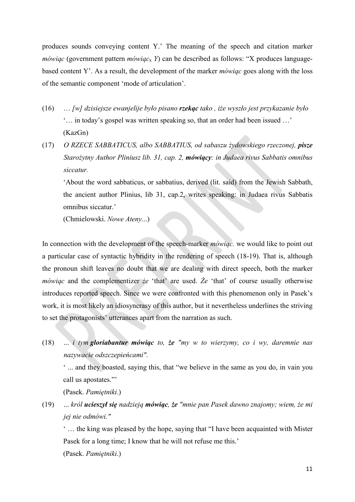produces sounds conveying content Y.' The meaning of the speech and citation marker *mówiąc* (government pattern *mówiąc*<sup>x</sup> *Y*) can be described as follows: "X produces languagebased content Y'. As a result, the development of the marker *mówiąc* goes along with the loss of the semantic component 'mode of articulation'.

- (16) … *[w] dzisiejsze ewanjelije było pisano rzekąc tako , iże wyszło jest przykazanie było*  '… in today's gospel was written speaking so, that an order had been issued …' (KazGn)
- (17) *O RZECE SABBATICUS, albo SABBATIUS, od sabaszu żydowskiego rzeczonej, pisze Starożytny Author Pliniusz lib. 31, cap. 2, mówiący: in Judaea rivus Sabbatis omnibus siccatur.*

'About the word sabbaticus, or sabbatius, derived (lit. said) from the Jewish Sabbath, the ancient author Plinius, lib 31, cap.2, writes speaking: in Judaea rivus Sabbatis omnibus siccatur.'

(Chmielowski. *Nowe Ateny*...)

In connection with the development of the speech-marker *mówiąc.* we would like to point out a particular case of syntactic hybridity in the rendering of speech (18-19). That is, although the pronoun shift leaves no doubt that we are dealing with direct speech, both the marker *mówiąc* and the complementizer *że* 'that' are used. *Że* 'that' of course usually otherwise introduces reported speech. Since we were confronted with this phenomenon only in Pasek's work, it is most likely an idiosyncrasy of this author, but it nevertheless underlines the striving to set the protagonists' utterances apart from the narration as such.

(18) ... *i tym gloriabantur mówiąc to, że "my w to wierzymy, co i wy, daremnie nas nazywacie odszczepieńcami".*

' ... and they boasted, saying this, that "we believe in the same as you do, in vain you call us apostates."'

(Pasek. *Pamiętniki*.)

(19) ... *król ucieszył się nadzieją mówiąc, że "mnie pan Pasek dawno znajomy; wiem, że mi jej nie odmówi."*

' … the king was pleased by the hope, saying that "I have been acquainted with Mister Pasek for a long time; I know that he will not refuse me this.'

(Pasek. *Pamiętniki*.)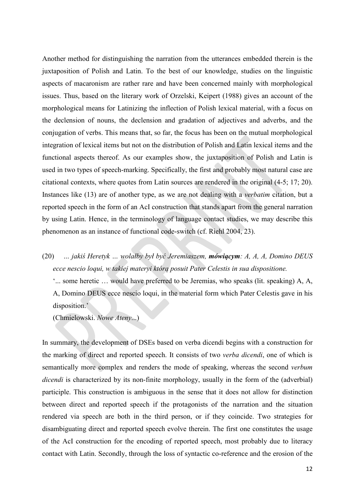Another method for distinguishing the narration from the utterances embedded therein is the juxtaposition of Polish and Latin. To the best of our knowledge, studies on the linguistic aspects of macaronism are rather rare and have been concerned mainly with morphological issues. Thus, based on the literary work of Orzelski, Keipert (1988) gives an account of the morphological means for Latinizing the inflection of Polish lexical material, with a focus on the declension of nouns, the declension and gradation of adjectives and adverbs, and the conjugation of verbs. This means that, so far, the focus has been on the mutual morphological integration of lexical items but not on the distribution of Polish and Latin lexical items and the functional aspects thereof. As our examples show, the juxtaposition of Polish and Latin is used in two types of speech-marking. Specifically, the first and probably most natural case are citational contexts, where quotes from Latin sources are rendered in the original (4-5; 17; 20). Instances like (13) are of another type, as we are not dealing with a *verbatim* citation, but a reported speech in the form of an AcI construction that stands apart from the general narration by using Latin. Hence, in the terminology of language contact studies, we may describe this phenomenon as an instance of functional code-switch (cf. Riehl 2004, 23).

(20) *… jakiś Heretyk … wolałby był być Jeremiaszem, mówiącym: A, A, A, Domino DEUS ecce nescio loqui, w takiej materyi którą posuit Pater Celestis in sua dispositione.*

'... some heretic … would have preferred to be Jeremias, who speaks (lit. speaking) A, A, A, Domino DEUS ecce nescio loqui, in the material form which Pater Celestis gave in his disposition.'

(Chmielowski. *Nowe Ateny*...)

In summary, the development of DSEs based on verba dicendi begins with a construction for the marking of direct and reported speech. It consists of two *verba dicendi*, one of which is semantically more complex and renders the mode of speaking, whereas the second *verbum dicendi* is characterized by its non-finite morphology, usually in the form of the (adverbial) participle. This construction is ambiguous in the sense that it does not allow for distinction between direct and reported speech if the protagonists of the narration and the situation rendered via speech are both in the third person, or if they coincide. Two strategies for disambiguating direct and reported speech evolve therein. The first one constitutes the usage of the AcI construction for the encoding of reported speech, most probably due to literacy contact with Latin. Secondly, through the loss of syntactic co-reference and the erosion of the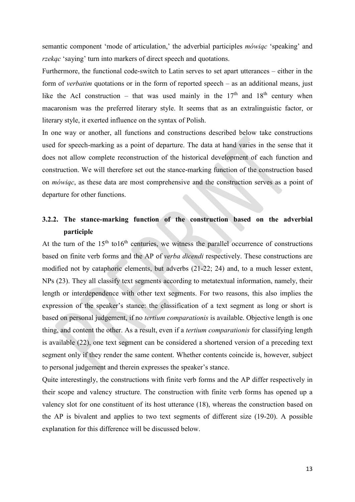semantic component 'mode of articulation,' the adverbial participles *mówiąc* 'speaking' and *rzekąc* 'saying' turn into markers of direct speech and quotations.

Furthermore, the functional code-switch to Latin serves to set apart utterances – either in the form of *verbatim* quotations or in the form of reported speech – as an additional means, just like the AcI construction – that was used mainly in the  $17<sup>th</sup>$  and  $18<sup>th</sup>$  century when macaronism was the preferred literary style. It seems that as an extralinguistic factor, or literary style, it exerted influence on the syntax of Polish.

In one way or another, all functions and constructions described below take constructions used for speech-marking as a point of departure. The data at hand varies in the sense that it does not allow complete reconstruction of the historical development of each function and construction. We will therefore set out the stance-marking function of the construction based on *mówiąc*, as these data are most comprehensive and the construction serves as a point of departure for other functions.

# **3.2.2. The stance-marking function of the construction based on the adverbial participle**

At the turn of the  $15<sup>th</sup>$  to $16<sup>th</sup>$  centuries, we witness the parallel occurrence of constructions based on finite verb forms and the AP of *verba dicendi* respectively. These constructions are modified not by cataphoric elements, but adverbs (21-22; 24) and, to a much lesser extent, NPs (23). They all classify text segments according to metatextual information, namely, their length or interdependence with other text segments. For two reasons, this also implies the expression of the speaker's stance: the classification of a text segment as long or short is based on personal judgement, if no *tertium comparationis* is available. Objective length is one thing, and content the other. As a result, even if a *tertium comparationis* for classifying length is available (22), one text segment can be considered a shortened version of a preceding text segment only if they render the same content. Whether contents coincide is, however, subject to personal judgement and therein expresses the speaker's stance.

Quite interestingly, the constructions with finite verb forms and the AP differ respectively in their scope and valency structure. The construction with finite verb forms has opened up a valency slot for one constituent of its host utterance (18), whereas the construction based on the AP is bivalent and applies to two text segments of different size (19-20). A possible explanation for this difference will be discussed below.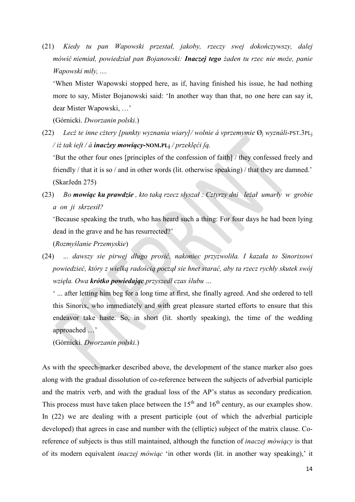(21) *Kiedy tu pan Wapowski przestał, jakoby, rzeczy swej dokończywszy, dalej mówić niemiał, powiedział pan Bojanowski: Inaczej tego żaden tu rzec nie może, panie Wapowski miły, ....*

'When Mister Wapowski stopped here, as if, having finished his issue, he had nothing more to say, Mister Bojanowski said: 'In another way than that, no one here can say it, dear Mister Wapowski, …'

(Górnicki. *Dworzanin polski*.)

(22) *Lecż te inne cżtery [punkty wyznania wiary]/ wolnie á vprzemymie* Øj *wyználi*-PST.3PLj */ iż tak ieſt / á inacżey mowiący***-NOM.PLj** */ przeklęći ſą.*

'But the other four ones [principles of the confession of faith] / they confessed freely and friendly / that it is so / and in other words (lit. otherwise speaking) / that they are damned.' (SkarJedn 275)

(23) *Bo mowiąc ku prawdzie , kto taką rzecz słyszał : Cztyrzy dni leżał umarły w grobie a on ji skrzesił?*

'Because speaking the truth, who has heard such a thing: For four days he had been lying dead in the grave and he has resurrected?'

(*Rozmyślanie Przemyskie*)

(24) .*.. dawszy sie pirwej długo prosić, nakoniec przyzwoliła. I kazała to Sinorixowi powiedzieć, który z wielką radością począł sie hnet starać, aby ta rzecz rychły skutek swój wzięła. Owa krótko powiedając przyszedł czas ślubu …*

' ... after letting him beg for a long time at first, she finally agreed. And she ordered to tell this Sinorix, who immediately and with great pleasure started efforts to ensure that this endeavor take haste. So, in short (lit. shortly speaking), the time of the wedding approached …'

(Górnicki. *Dworzanin polski*.)

As with the speech-marker described above, the development of the stance marker also goes along with the gradual dissolution of co-reference between the subjects of adverbial participle and the matrix verb, and with the gradual loss of the AP's status as secondary predication. This process must have taken place between the  $15<sup>th</sup>$  and  $16<sup>th</sup>$  century, as our examples show. In (22) we are dealing with a present participle (out of which the adverbial participle developed) that agrees in case and number with the (elliptic) subject of the matrix clause. Coreference of subjects is thus still maintained, although the function of *inaczej mówiący* is that of its modern equivalent *inaczej mówiąc* 'in other words (lit. in another way speaking),' it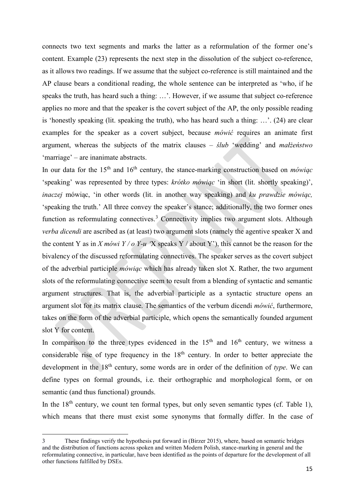connects two text segments and marks the latter as a reformulation of the former one's content. Example (23) represents the next step in the dissolution of the subject co-reference, as it allows two readings. If we assume that the subject co-reference is still maintained and the AP clause bears a conditional reading, the whole sentence can be interpreted as 'who, if he speaks the truth, has heard such a thing: …'. However, if we assume that subject co-reference applies no more and that the speaker is the covert subject of the AP, the only possible reading is 'honestly speaking (lit. speaking the truth), who has heard such a thing: …'. (24) are clear examples for the speaker as a covert subject, because *mówić* requires an animate first argument, whereas the subjects of the matrix clauses – *ślub* 'wedding' and *małżeństwo* 'marriage' – are inanimate abstracts.

In our data for the 15<sup>th</sup> and 16<sup>th</sup> century, the stance-marking construction based on *mówiąc* 'speaking' was represented by three types: *krótko mówiąc* 'in short (lit. shortly speaking)', *inaczej* mówiąc, 'in other words (lit. in another way speaking) and *ku prawdzie mówiąc,* 'speaking the truth.' All three convey the speaker's stance; additionally, the two former ones function as reformulating connectives.<sup>[3](#page-14-0)</sup> Connectivity implies two argument slots. Although *verba dicendi* are ascribed as (at least) two argument slots (namely the agentive speaker X and the content Y as in *X mówi Y / o Y-u* 'X speaks Y / about Y'), this cannot be the reason for the bivalency of the discussed reformulating connectives. The speaker serves as the covert subject of the adverbial participle *mówiąc* which has already taken slot X. Rather, the two argument slots of the reformulating connective seem to result from a blending of syntactic and semantic argument structures. That is, the adverbial participle as a syntactic structure opens an argument slot for its matrix clause. The semantics of the verbum dicendi *mówić*, furthermore, takes on the form of the adverbial participle, which opens the semantically founded argument slot Y for content.

In comparison to the three types evidenced in the  $15<sup>th</sup>$  and  $16<sup>th</sup>$  century, we witness a considerable rise of type frequency in the  $18<sup>th</sup>$  century. In order to better appreciate the development in the 18<sup>th</sup> century, some words are in order of the definition of *type*. We can define types on formal grounds, i.e. their orthographic and morphological form, or on semantic (and thus functional) grounds.

In the  $18<sup>th</sup>$  century, we count ten formal types, but only seven semantic types (cf. Table 1), which means that there must exist some synonyms that formally differ. In the case of

<span id="page-14-0"></span><sup>3</sup> These findings verify the hypothesis put forward in (Birzer 2015), where, based on semantic bridges and the distribution of functions across spoken and written Modern Polish, stance-marking in general and the reformulating connective, in particular, have been identified as the points of departure for the development of all other functions fulfilled by DSEs.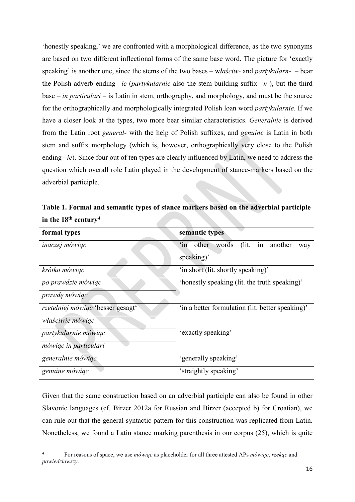'honestly speaking,' we are confronted with a morphological difference, as the two synonyms are based on two different inflectional forms of the same base word. The picture for 'exactly speaking' is another one, since the stems of the two bases – w*łaściw-* and *partykularn*- – bear the Polish adverb ending –*ie* (*partykularnie* also the stem-building suffix –*n*-), but the third base – *in particulari* – is Latin in stem, orthography, and morphology, and must be the source for the orthographically and morphologically integrated Polish loan word *partykularnie*. If we have a closer look at the types, two more bear similar characteristics. *Generalnie* is derived from the Latin root *general*- with the help of Polish suffixes, and *genuine* is Latin in both stem and suffix morphology (which is, however, orthographically very close to the Polish ending –*ie*). Since four out of ten types are clearly influenced by Latin, we need to address the question which overall role Latin played in the development of stance-markers based on the adverbial participle.

| in the $18th$ century <sup>4</sup>                                              |                                                                   |  |  |  |  |  |  |
|---------------------------------------------------------------------------------|-------------------------------------------------------------------|--|--|--|--|--|--|
| formal types                                                                    | semantic types                                                    |  |  |  |  |  |  |
| inaczej mówiąc                                                                  | in another<br>(lit.<br>other words<br>$\sin$<br>way<br>speaking)' |  |  |  |  |  |  |
| krótko mówiąc                                                                   | 'in short (lit. shortly speaking)'                                |  |  |  |  |  |  |
| po prawdzie mówiąc                                                              | 'honestly speaking (lit. the truth speaking)'                     |  |  |  |  |  |  |
| <i>prawdę mówiąc</i>                                                            |                                                                   |  |  |  |  |  |  |
| rzetelniej mówiąc 'besser gesagt'                                               | 'in a better formulation (lit. better speaking)'                  |  |  |  |  |  |  |
| <i>właściwie mówiąc</i><br>partykularnie mówiąc<br><i>mówiąc in particulari</i> | 'exactly speaking'                                                |  |  |  |  |  |  |
| generalnie mówiąc                                                               | 'generally speaking'                                              |  |  |  |  |  |  |
| genuine mówiąc                                                                  | 'straightly speaking'                                             |  |  |  |  |  |  |

**Table 1. Formal and semantic types of stance markers based on the adverbial participle** 

Given that the same construction based on an adverbial participle can also be found in other Slavonic languages (cf. Birzer 2012a for Russian and Birzer (accepted b) for Croatian), we can rule out that the general syntactic pattern for this construction was replicated from Latin. Nonetheless, we found a Latin stance marking parenthesis in our corpus (25), which is quite

<span id="page-15-0"></span><sup>4</sup> For reasons of space, we use *mówiąc* as placeholder for all three attested APs *mówiąc*, *rzekąc* and *powiedziawszy*.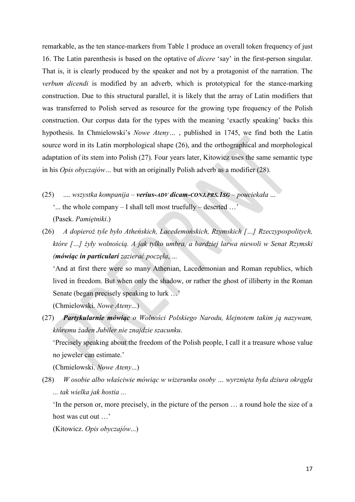remarkable, as the ten stance-markers from Table 1 produce an overall token frequency of just 16. The Latin parenthesis is based on the optative of *dicere* 'say' in the first-person singular. That is, it is clearly produced by the speaker and not by a protagonist of the narration. The *verbum dicendi* is modified by an adverb, which is prototypical for the stance-marking construction. Due to this structural parallel, it is likely that the array of Latin modifiers that was transferred to Polish served as resource for the growing type frequency of the Polish construction. Our corpus data for the types with the meaning 'exactly speaking' backs this hypothesis. In Chmielowski's *Nowe Ateny…* , published in 1745, we find both the Latin source word in its Latin morphological shape (26), and the orthographical and morphological adaptation of its stem into Polish (27). Four years later, Kitowicz uses the same semantic type in his *Opis obyczajów…* but with an originally Polish adverb as a modifier (28).

- (25) .... *wszystka kompanija – verius-ADV dicam-CONJ.PRS.1SG – pouciekała* ... '... the whole company – I shall tell most truefully – deserted …' (Pasek. *Pamiętniki*.)
- (26) *A dopieroż tyle było Atheńskich, Lacedemońskich, Rzymskich […] Rzeczypospolitych, które […] żyły wolnością. A jak tylko umbra, a bardziej larwa niewoli w Senat Rzymski (mówiąc in particulari zazierać poczęła*, ...

'And at first there were so many Athenian, Lacedemonian and Roman republics, which lived in freedom. But when only the shadow, or rather the ghost of illiberty in the Roman Senate (began precisely speaking to lurk …'

(Chmielowski. *Nowe Ateny*...)

(27) *Partykularnie mówiąc o Wolności Polskiego Narodu, klejnotem takim ją nazywam, któremu żaden Jubiler nie znajdzie szacunku*.

'Precisely speaking about the freedom of the Polish people, I call it a treasure whose value no jeweler can estimate.'

(Chmielowski. *Nowe Ateny*...)

(28) *W osobie albo właściwie mówiąc w wizerunku osoby … wyrznięta była dziura okrągła ... tak wielka jak hostia ...* 

'In the person or, more precisely, in the picture of the person … a round hole the size of a host was cut out …'

(Kitowicz. *Opis obyczajów*...)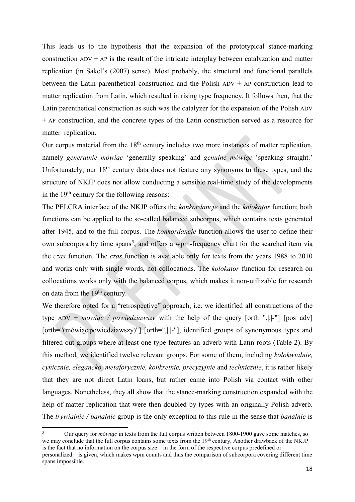This leads us to the hypothesis that the expansion of the prototypical stance-marking construction  $ADV + AP$  is the result of the intricate interplay between catalyzation and matter replication (in Sakel's (2007) sense). Most probably, the structural and functional parallels between the Latin parenthetical construction and the Polish  $ADV + AP$  construction lead to matter replication from Latin, which resulted in rising type frequency. It follows then, that the Latin parenthetical construction as such was the catalyzer for the expansion of the Polish ADV + AP construction, and the concrete types of the Latin construction served as a resource for matter replication.

Our corpus material from the  $18<sup>th</sup>$  century includes two more instances of matter replication, namely *generalnie mówiąc* 'generally speaking' and *genuine mówiąc* 'speaking straight.' Unfortunately, our  $18<sup>th</sup>$  century data does not feature any synonyms to these types, and the structure of NKJP does not allow conducting a sensible real-time study of the developments in the  $19<sup>th</sup>$  century for the following reasons:

The PELCRA interface of the NKJP offers the *konkordancje* and the *kolokator* function; both functions can be applied to the so-called balanced subcorpus, which contains texts generated after 1945, and to the full corpus. The *konkordancje* function allows the user to define their own subcorpora by time spans<sup>[5](#page-17-0)</sup>, and offers a wpm-frequency chart for the searched item via the *czas* function. The *czas* function is available only for texts from the years 1988 to 2010 and works only with single words, not collocations. The *kolokator* function for research on collocations works only with the balanced corpus, which makes it non-utilizable for research on data from the  $19<sup>th</sup>$  century.

We therefore opted for a "retrospective" approach, i.e. we identified all constructions of the type ADV + *mówiąc / powiedziawszy* with the help of the query [orth=",|.|-"] [pos=adv] [orth="(mówiąc|powiedziawszy)"] [orth=",||-"], identified groups of synonymous types and filtered out groups where at least one type features an adverb with Latin roots (Table 2). By this method, we identified twelve relevant groups. For some of them, including *kolokwialnie, cynicznie, elegancko, metaforycznie, konkretnie, precyzyjnie* and *technicznie*, it is rather likely that they are not direct Latin loans, but rather came into Polish via contact with other languages. Nonetheless, they all show that the stance-marking construction expanded with the help of matter replication that were then doubled by types with an originally Polish adverb. The *trywialnie / banalnie* group is the only exception to this rule in the sense that *banalnie* is

<span id="page-17-0"></span><sup>5</sup> Our query for *mówiąc* in texts from the full corpus written between 1800-1900 gave some matches, so we may conclude that the full corpus contains some texts from the 19<sup>th</sup> century. Another drawback of the NKJP is the fact that no information on the corpus size – in the form of the respective corpus predefined or personalized – is given, which makes wpm counts and thus the comparison of subcorpora covering different time spans impossible.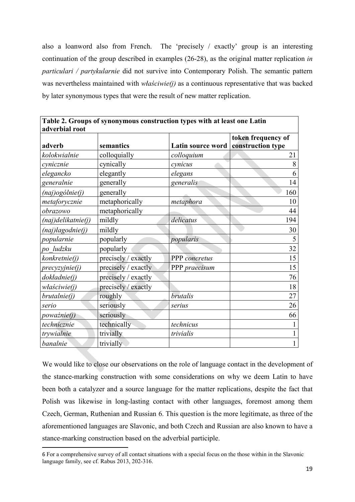also a loanword also from French. The 'precisely / exactly' group is an interesting continuation of the group described in examples (26-28), as the original matter replication *in particulari / partykularnie* did not survive into Contemporary Polish. The semantic pattern was nevertheless maintained with *właściwie(j)* as a continuous representative that was backed by later synonymous types that were the result of new matter replication.

| adverbial root        |                     |                   |                                         |
|-----------------------|---------------------|-------------------|-----------------------------------------|
| adverb                | semantics           | Latin source word | token frequency of<br>construction type |
| kolokwialnie          | colloquially        | colloquium        | 21                                      |
| cynicznie             | cynically           | cynicus           | 8                                       |
| elegancko             | elegantly           | elegans           | 6                                       |
| generalnie            | generally           | generalis         | 14                                      |
| $(naj)$ ogólnie $(j)$ | generally           |                   | 160                                     |
| metaforycznie         | metaphorically      | metaphora         | 10                                      |
| obrazowo              | metaphorically      |                   | 44                                      |
| (naj)delikatnie(j)    | mildly              | delicatus         | 194                                     |
| (naj)łagodnie(j)      | mildly              |                   | 30                                      |
| popularnie            | popularly           | popularis         | 5                                       |
| po ludzku             | popularly           |                   | 32                                      |
| konkretnie(j)         | precisely / exactly | PPP concretus     | 15                                      |
| precyzyjnie(j)        | precisely / exactly | PPP praecisum     | 15                                      |
| dokładnie(j)          | precisely / exactly |                   | 76                                      |
| właściwie(j)          | precisely / exactly |                   | 18                                      |
| brutalnie(j)          | roughly             | brutalis          | 27                                      |
| serio                 | seriously           | serius            | 26                                      |
| poważnie(j)           | seriously           |                   | 66                                      |
| technicznie           | technically         | technicus         |                                         |
| trywialnie            | trivially           | trivialis         |                                         |
| banalnie              | trivially           |                   |                                         |

**Table 2. Groups of synonymous construction types with at least one Latin** 

We would like to close our observations on the role of language contact in the development of the stance-marking construction with some considerations on why we deem Latin to have been both a catalyzer and a source language for the matter replications, despite the fact that Polish was likewise in long-lasting contact with other languages, foremost among them Czech, German, Ruthenian and Russian [6.](#page-18-0) This question is the more legitimate, as three of the aforementioned languages are Slavonic, and both Czech and Russian are also known to have a stance-marking construction based on the adverbial participle.

<span id="page-18-0"></span><sup>6</sup> For a comprehensive survey of all contact situations with a special focus on the those within in the Slavonic language family, see cf. Rabus 2013, 202-316.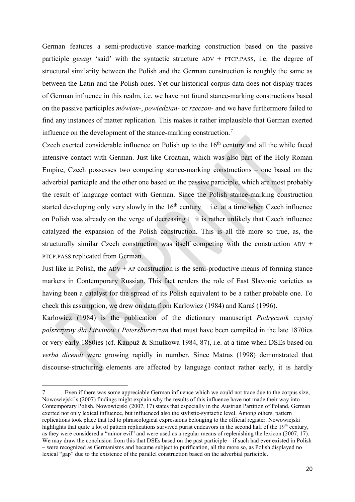German features a semi-productive stance-marking construction based on the passive participle *gesagt* 'said' with the syntactic structure ADV + PTCP.PASS, i.e. the degree of structural similarity between the Polish and the German construction is roughly the same as between the Latin and the Polish ones. Yet our historical corpus data does not display traces of German influence in this realm, i.e. we have not found stance-marking constructions based on the passive participles *mówion*-, *powiedzian*- or *rzeczon*- and we have furthermore failed to find any instances of matter replication. This makes it rather implausible that German exerted influence on the development of the stance-marking construction.<sup>[7](#page-19-0)</sup>

Czech exerted considerable influence on Polish up to the 16<sup>th</sup> century and all the while faced intensive contact with German. Just like Croatian, which was also part of the Holy Roman Empire, Czech possesses two competing stance-marking constructions – one based on the adverbial participle and the other one based on the passive participle, which are most probably the result of language contact with German. Since the Polish stance-marking construction started developing only very slowly in the  $16<sup>th</sup>$  century  $\Box$  i.e. at a time when Czech influence on Polish was already on the verge of decreasing  $\Box$  it is rather unlikely that Czech influence catalyzed the expansion of the Polish construction. This is all the more so true, as, the structurally similar Czech construction was itself competing with the construction ADV + PTCP.PASS replicated from German.

Just like in Polish, the  $ADV + AP$  construction is the semi-productive means of forming stance markers in Contemporary Russian. This fact renders the role of East Slavonic varieties as having been a catalyst for the spread of its Polish equivalent to be a rather probable one. To check this assumption, we drew on data from Karłowicz (1984) and Karaś (1996).

Karłowicz (1984) is the publication of the dictionary manuscript *Podręcznik czystej polszczyzny dla Litwinow i Petersburszczan* that must have been compiled in the late 1870ies or very early 1880ies (cf. Kaupuż & Smułkowa 1984, 87), i.e. at a time when DSEs based on *verba dicendi* were growing rapidly in number. Since Matras (1998) demonstrated that discourse-structuring elements are affected by language contact rather early, it is hardly

<span id="page-19-0"></span> $\overline{a}$ 7 Even if there was some appreciable German influence which we could not trace due to the corpus size, Nowowiejski's (2007) findings might explain why the results of this influence have not made their way into Contemporary Polish. Nowowiejski (2007, 17) states that especially in the Austrian Partition of Poland, German exerted not only lexical influence, but influenced also the stylistic-syntactic level. Among others, pattern replications took place that led to phraseological expressions belonging to the official register. Nowowiejski highlights that quite a lot of pattern replications survived purist endeavors in the second half of the 19<sup>th</sup> century, as they were considered a "minor evil" and were used as a regular means of replenishing the lexicon (2007, 17). We may draw the conclusion from this that DSEs based on the past participle – if such had ever existed in Polish – were recognized as Germanisms and became subject to purification, all the more so, as Polish displayed no lexical "gap" due to the existence of the parallel construction based on the adverbial participle.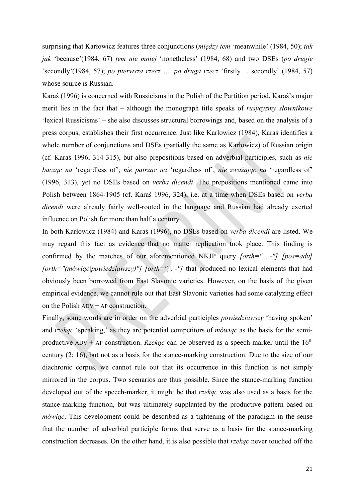surprising that Karłowicz features three conjunctions (*między tem* 'meanwhile' (1984, 50); *tak jak* 'because'(1984, 67) *tem nie mniej* 'nonetheless' (1984, 68) and two DSEs (*po drugie* 'secondly'(1984, 57); *po pierwsza rzecz …. po druga rzecz* 'firstly ... secondly' (1984, 57) whose source is Russian.

Karaś (1996) is concerned with Russicisms in the Polish of the Partition period. Karaś's major merit lies in the fact that – although the monograph title speaks of *rusycyzmy słownikowe* 'lexical Russicisms' – she also discusses structural borrowings and, based on the analysis of a press corpus, establishes their first occurrence. Just like Karłowicz (1984), Karaś identifies a whole number of conjunctions and DSEs (partially the same as Karłowicz) of Russian origin (cf. Karaś 1996, 314-315), but also prepositions based on adverbial participles, such as *nie bacząc na* 'regardless of'; *nie patrząc na* 'regardless of'; *nie zważając na* 'regardless of' (1996, 313), yet no DSEs based on *verba dicendi*. The prepositions mentioned came into Polish between 1864-1905 (cf. Karaś 1996, 324), i.e. at a time when DSEs based on *verba dicendi* were already fairly well-rooted in the language and Russian had already exerted influence on Polish for more than half a century.

In both Karłowicz (1984) and Karaś (1996), no DSEs based on *verba dicendi* are listed. We may regard this fact as evidence that no matter replication took place. This finding is confirmed by the matches of our aforementioned NKJP query *[orth=",|.|-"] [pos=adv] [orth="(mówiąc|powiedziawszy)"] [orth=",|.|-"]* that produced no lexical elements that had obviously been borrowed from East Slavonic varieties. However, on the basis of the given empirical evidence, we cannot rule out that East Slavonic varieties had some catalyzing effect on the Polish  $ADV + AP$  construction.

Finally, some words are in order on the adverbial participles *powiedziawszy* 'having spoken' and *rzekąc* 'speaking,' as they are potential competitors of *mówiąc* as the basis for the semiproductive ADV + AP construction. *Rzekąc* can be observed as a speech-marker until the  $16<sup>th</sup>$ century (2; 16), but not as a basis for the stance-marking construction. Due to the size of our diachronic corpus, we cannot rule out that its occurrence in this function is not simply mirrored in the corpus. Two scenarios are thus possible. Since the stance-marking function developed out of the speech-marker, it might be that *rzekąc* was also used as a basis for the stance-marking function, but was ultimately supplanted by the productive pattern based on *mówiąc*. This development could be described as a tightening of the paradigm in the sense that the number of adverbial participle forms that serve as a basis for the stance-marking construction decreases. On the other hand, it is also possible that *rzekąc* never touched off the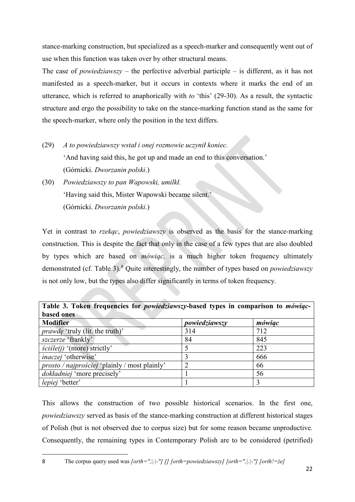stance-marking construction, but specialized as a speech-marker and consequently went out of use when this function was taken over by other structural means.

The case of *powiedziawszy* – the perfective adverbial participle – is different, as it has not manifested as a speech-marker, but it occurs in contexts where it marks the end of an utterance, which is referred to anaphorically with *to* 'this' (29-30). As a result, the syntactic structure and ergo the possibility to take on the stance-marking function stand as the same for the speech-marker, where only the position in the text differs.

- (29) *A to powiedziawszy wstał i onej rozmowie uczynił koniec.*  'And having said this, he got up and made an end to this conversation.' (Górnicki. *Dworzanin polski*.)
- (30) *Powiedziawszy to pan Wapowski, umilkł.*  'Having said this, Mister Wapowski became silent.' (Górnicki. *Dworzanin polski*.)

Yet in contrast to *rzekąc*, *powiedziawszy* is observed as the basis for the stance-marking construction. This is despite the fact that only in the case of a few types that are also doubled by types which are based on *mówiąc,* is a much higher token frequency ultimately demonstrated (cf. Table 3).[8](#page-21-0) Quite interestingly, the number of types based on *powiedziawszy* is not only low, but the types also differ significantly in terms of token frequency.

| Table 3. Token frequencies for <i>powiedziawszy</i> -based types in comparison to <i>mówiąc</i> - |               |        |  |  |  |  |  |
|---------------------------------------------------------------------------------------------------|---------------|--------|--|--|--|--|--|
| based ones                                                                                        |               |        |  |  |  |  |  |
| <b>Modifier</b>                                                                                   | powiedziawszy | mówiąc |  |  |  |  |  |
| <i>prawde</i> 'truly (lit. the truth)'                                                            | 314           | 712    |  |  |  |  |  |
| szczerze 'frankly'                                                                                | 84            | 845    |  |  |  |  |  |
| $\text{c}$ <i>scisle(j)</i> '(more) strictly'                                                     |               | 223    |  |  |  |  |  |
| inaczej 'otherwise'                                                                               |               | 666    |  |  |  |  |  |
| <i>prosto / najprościej</i> 'plainly / most plainly'                                              |               | 66     |  |  |  |  |  |
| <i>dokładniej</i> 'more precisely'                                                                |               | 56     |  |  |  |  |  |
| lepiej 'better'                                                                                   |               |        |  |  |  |  |  |

<span id="page-21-0"></span>This allows the construction of two possible historical scenarios. In the first one, *powiedziawszy* served as basis of the stance-marking construction at different historical stages of Polish (but is not observed due to corpus size) but for some reason became unproductive. Consequently, the remaining types in Contemporary Polish are to be considered (petrified)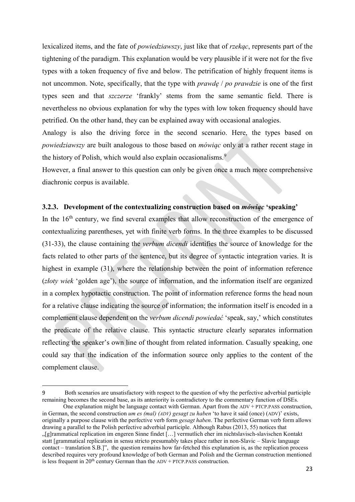lexicalized items, and the fate of *powiedziawszy*, just like that of *rzekąc*, represents part of the tightening of the paradigm. This explanation would be very plausible if it were not for the five types with a token frequency of five and below. The petrification of highly frequent items is not uncommon. Note, specifically, that the type with *prawdę* / *po prawdzie* is one of the first types seen and that *szczerze* 'frankly' stems from the same semantic field. There is nevertheless no obvious explanation for why the types with low token frequency should have petrified. On the other hand, they can be explained away with occasional analogies.

Analogy is also the driving force in the second scenario. Here, the types based on *powiedziawszy* are built analogous to those based on *mówiąc* only at a rather recent stage in the history of Polish, which would also explain occasionalisms.<sup>[9](#page-22-0)</sup>

However, a final answer to this question can only be given once a much more comprehensive diachronic corpus is available.

## **3.2.3. Development of the contextualizing construction based on** *mówiąc* **'speaking'**

In the 16<sup>th</sup> century, we find several examples that allow reconstruction of the emergence of contextualizing parentheses, yet with finite verb forms. In the three examples to be discussed (31-33), the clause containing the *verbum dicendi* identifies the source of knowledge for the facts related to other parts of the sentence, but its degree of syntactic integration varies. It is highest in example (31), where the relationship between the point of information reference (*złoty wiek* 'golden age'), the source of information, and the information itself are organized in a complex hypotactic construction. The point of information reference forms the head noun for a relative clause indicating the source of information; the information itself is encoded in a complement clause dependent on the *verbum dicendi powiedać* 'speak, say,' which constitutes the predicate of the relative clause. This syntactic structure clearly separates information reflecting the speaker's own line of thought from related information. Casually speaking, one could say that the indication of the information source only applies to the content of the complement clause.

<span id="page-22-0"></span><sup>9</sup> Both scenarios are unsatisfactory with respect to the question of why the perfective adverbial participle remaining becomes the second base, as its anteriority is contradictory to the commentary function of DSEs.

One explanation might be language contact with German. Apart from the ADV + PTCP.PASS construction, in German, the second construction *um es (mal) (ADV) gesagt zu haben* 'to have it said (once) (ADV)' exists, originally a purpose clause with the perfective verb form *gesagt haben*. The perfective German verb form allows drawing a parallel to the Polish perfective adverbial participle. Although Rabus (2013, 55) notices that "[g]rammatical replication im engeren Sinne findet […] vermutlich eher im nichtslavisch-slavischen Kontakt statt [grammatical replication in sensu stricto presumably takes place rather in non-Slavic – Slavic language contact – translation S.B.]", the question remains how far-fetched this explanation is, as the replication process described requires very profound knowledge of both German and Polish and the German construction mentioned is less frequent in  $20<sup>th</sup>$  century German than the ADV + PTCP.PASS construction.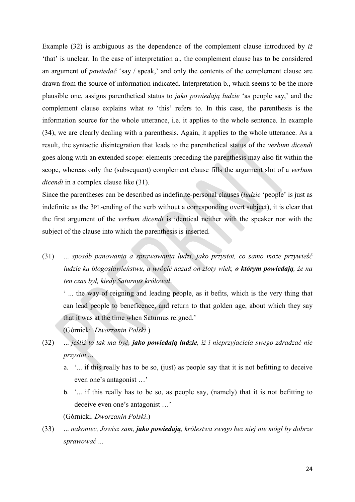Example (32) is ambiguous as the dependence of the complement clause introduced by *iż* 'that' is unclear. In the case of interpretation a., the complement clause has to be considered an argument of *powiedać* 'say / speak,' and only the contents of the complement clause are drawn from the source of information indicated. Interpretation b., which seems to be the more plausible one, assigns parenthetical status to *jako powiedają ludzie* 'as people say,' and the complement clause explains what *to* 'this' refers to. In this case, the parenthesis is the information source for the whole utterance, i.e. it applies to the whole sentence. In example (34), we are clearly dealing with a parenthesis. Again, it applies to the whole utterance. As a result, the syntactic disintegration that leads to the parenthetical status of the *verbum dicendi* goes along with an extended scope: elements preceding the parenthesis may also fit within the scope, whereas only the (subsequent) complement clause fills the argument slot of a *verbum dicendi* in a complex clause like (31).

Since the parentheses can be described as indefinite-personal clauses (*ludzie* 'people' is just as indefinite as the 3PL-ending of the verb without a corresponding overt subject), it is clear that the first argument of the *verbum dicendi* is identical neither with the speaker nor with the subject of the clause into which the parenthesis is inserted.

(31) ... *sposób panowania a sprawowania ludzi, jako przystoi, co samo może przywieść ludzie ku błogosławieństwu, a wrócić nazad on złoty wiek, o którym powiedają, że na ten czas był, kiedy Saturnus królował*.

' ... the way of reigning and leading people, as it befits, which is the very thing that can lead people to beneficence, and return to that golden age, about which they say that it was at the time when Saturnus reigned.'

(Górnicki. *Dworzanin Polski*.)

- (32) ... *jeśliż to tak ma być, jako powiedają ludzie, iż i nieprzyjaciela swego zdradzać nie przystoi .*..
	- a. '... if this really has to be so, (just) as people say that it is not befitting to deceive even one's antagonist …'
	- b. '... if this really has to be so, as people say, (namely) that it is not befitting to deceive even one's antagonist …'

(Górnicki. *Dworzanin Polski*.)

(33) ... *nakoniec, Jowisz sam, jako powiedają, królestwa swego bez niej nie mógł by dobrze sprawować* ...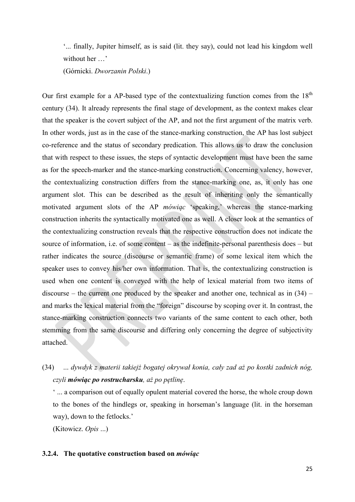'... finally, Jupiter himself, as is said (lit. they say), could not lead his kingdom well without her ...'

(Górnicki. *Dworzanin Polski*.)

Our first example for a AP-based type of the contextualizing function comes from the  $18<sup>th</sup>$ century (34). It already represents the final stage of development, as the context makes clear that the speaker is the covert subject of the AP, and not the first argument of the matrix verb. In other words, just as in the case of the stance-marking construction, the AP has lost subject co-reference and the status of secondary predication. This allows us to draw the conclusion that with respect to these issues, the steps of syntactic development must have been the same as for the speech-marker and the stance-marking construction. Concerning valency, however, the contextualizing construction differs from the stance-marking one, as, it only has one argument slot. This can be described as the result of inheriting only the semantically motivated argument slots of the AP *mówiąc* 'speaking,' whereas the stance-marking construction inherits the syntactically motivated one as well. A closer look at the semantics of the contextualizing construction reveals that the respective construction does not indicate the source of information, i.e. of some content – as the indefinite-personal parenthesis does – but rather indicates the source (discourse or semantic frame) of some lexical item which the speaker uses to convey his/her own information. That is, the contextualizing construction is used when one content is conveyed with the help of lexical material from two items of discourse – the current one produced by the speaker and another one, technical as in  $(34)$  – and marks the lexical material from the "foreign" discourse by scoping over it. In contrast, the stance-marking construction connects two variants of the same content to each other, both stemming from the same discourse and differing only concerning the degree of subjectivity attached.

(34) ... *dywdyk z materii takiejż bogatej okrywał konia, cały zad aż po kostki zadnich nóg, czyli mówiąc po rostrucharsku, aż po pętlinę*.

' ... a comparison out of equally opulent material covered the horse, the whole croup down to the bones of the hindlegs or, speaking in horseman's language (lit. in the horseman way), down to the fetlocks.'

(Kitowicz. *Opis* ...)

## **3.2.4. The quotative construction based on** *mówiąc*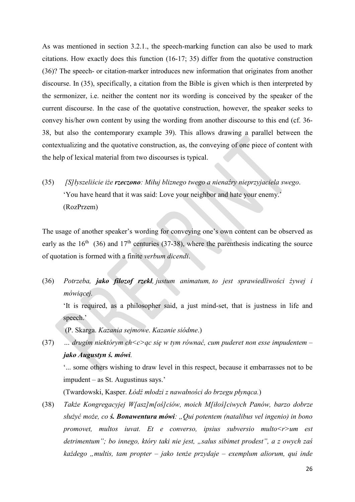As was mentioned in section 3.2.1., the speech-marking function can also be used to mark citations. How exactly does this function (16-17; 35) differ from the quotative construction (36)? The speech- or citation-marker introduces new information that originates from another discourse. In (35), specifically, a citation from the Bible is given which is then interpreted by the sermonizer, i.e. neither the content nor its wording is conceived by the speaker of the current discourse. In the case of the quotative construction, however, the speaker seeks to convey his/her own content by using the wording from another discourse to this end (cf. 36- 38, but also the contemporary example 39). This allows drawing a parallel between the contextualizing and the quotative construction, as, the conveying of one piece of content with the help of lexical material from two discourses is typical.

(35) *[S]łyszeliście iże rzeczono: Miłuj bliznego twego a nienaźry nieprzyjaciela swego*. 'You have heard that it was said: Love your neighbor and hate your enemy.' (RozPrzem)

The usage of another speaker's wording for conveying one's own content can be observed as early as the  $16<sup>th</sup>$  (36) and  $17<sup>th</sup>$  centuries (37-38), where the parenthesis indicating the source of quotation is formed with a finite *verbum dicendi*.

(36) *Potrzeba, jako filozof rzekł, justum animatum, to jest sprawiedliwości żywej i mówiącej.*

'It is required, as a philosopher said, a just mind-set, that is justness in life and speech.'

(P. Skarga. *Kazania sejmowe*. *Kazanie siódme*.)

(37) *… drugim niektórym ch<c>ąc się w tym równać, cum puderet non esse impudentem – jako Augustyn ś. mówi.* 

'... some others wishing to draw level in this respect, because it embarrasses not to be impudent – as St. Augustinus says.'

(Twardowski, Kasper. *Łódź młodzi z nawałności do brzegu płynąca.*)

(38) *Także Kongregacyjej W[asz]m[oś]ciów, moich M[iłoś]ciwych Panów, barzo dobrze służyć może, co ś. Bonawentura mówi: "Qui potentem (natalibus vel ingenio) in bono promovet, multos iuvat. Et e converso, ipsius subversio multo<r>um est detrimentum"; bo innego, który taki nie jest, "salus sibimet prodest", a z owych zaś każdego "multis, tam propter – jako tenże przydaje – exemplum aliorum, qui inde*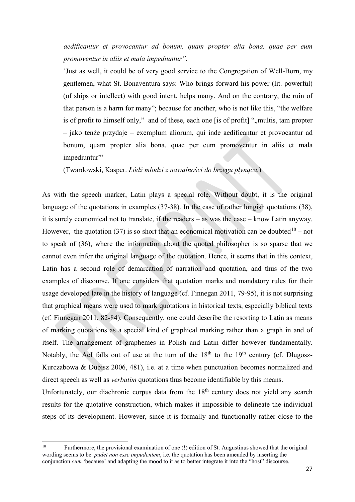*aedificantur et provocantur ad bonum, quam propter alia bona, quae per eum promoventur in aliis et mala impediuntur".* 

'Just as well, it could be of very good service to the Congregation of Well-Born, my gentlemen, what St. Bonaventura says: Who brings forward his power (lit. powerful) (of ships or intellect) with good intent, helps many. And on the contrary, the ruin of that person is a harm for many"; because for another, who is not like this, "the welfare is of profit to himself only," and of these, each one [is of profit] ",, multis, tam propter – jako tenże przydaje – exemplum aliorum, qui inde aedificantur et provocantur ad bonum, quam propter alia bona, quae per eum promoventur in aliis et mala impediuntur"

(Twardowski, Kasper. *Łódź młodzi z nawałności do brzegu płynąca.*)

As with the speech marker, Latin plays a special role. Without doubt, it is the original language of the quotations in examples (37-38). In the case of rather longish quotations (38), it is surely economical not to translate, if the readers – as was the case – know Latin anyway. However, the quotation (37) is so short that an economical motivation can be doubted<sup>10</sup> – not to speak of (36), where the information about the quoted philosopher is so sparse that we cannot even infer the original language of the quotation. Hence, it seems that in this context, Latin has a second role of demarcation of narration and quotation, and thus of the two examples of discourse. If one considers that quotation marks and mandatory rules for their usage developed late in the history of language (cf. Finnegan 2011, 79-95), it is not surprising that graphical means were used to mark quotations in historical texts, especially biblical texts (cf. Finnegan 2011, 82-84). Consequently, one could describe the resorting to Latin as means of marking quotations as a special kind of graphical marking rather than a graph in and of itself. The arrangement of graphemes in Polish and Latin differ however fundamentally. Notably, the AcI falls out of use at the turn of the  $18<sup>th</sup>$  to the  $19<sup>th</sup>$  century (cf. Długosz-Kurczabowa & Dubisz 2006, 481), i.e. at a time when punctuation becomes normalized and direct speech as well as *verbatim* quotations thus become identifiable by this means.

Unfortunately, our diachronic corpus data from the 18<sup>th</sup> century does not yield any search results for the quotative construction, which makes it impossible to delineate the individual steps of its development. However, since it is formally and functionally rather close to the

<span id="page-26-0"></span> $10<sup>10</sup>$ 10 Furthermore, the provisional examination of one (!) edition of St. Augustinus showed that the original wording seems to be *pudet non esse impudentem*, i.e. the quotation has been amended by inserting the conjunction *cum* 'because' and adapting the mood to it as to better integrate it into the "host" discourse.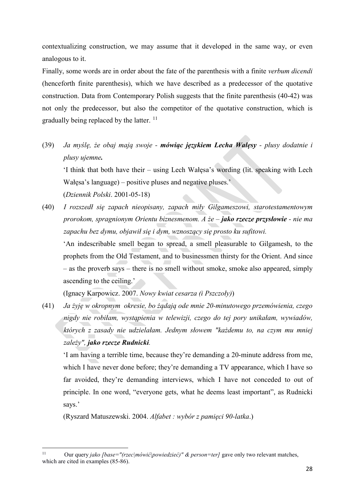contextualizing construction, we may assume that it developed in the same way, or even analogous to it.

Finally, some words are in order about the fate of the parenthesis with a finite *verbum dicendi* (henceforth finite parenthesis), which we have described as a predecessor of the quotative construction. Data from Contemporary Polish suggests that the finite parenthesis (40-42) was not only the predecessor, but also the competitor of the quotative construction, which is gradually being replaced by the latter.  $11$ 

(39) *Ja myślę, że obaj mają swoje - mówiąc językiem Lecha Wałęsy - plusy dodatnie i plusy ujemne.*

'I think that both have their – using Lech Wałęsa's wording (lit. speaking with Lech Wałęsa's language) – positive pluses and negative pluses.' (*Dziennik Polski*. 2001-05-18)

(40) *I rozszedł się zapach nieopisany, zapach miły Gilgameszowi, starotestamentowym prorokom, spragnionym Orientu biznesmenom. A że – jako rzecze przysłowie - nie ma zapachu bez dymu, objawił się i dym, wznoszący się prosto ku sufitowi.* 'An indescribable smell began to spread, a smell pleasurable to Gilgamesh, to the prophets from the Old Testament, and to businessmen thirsty for the Orient. And since – as the proverb says – there is no smell without smoke, smoke also appeared, simply ascending to the ceiling.'

(Ignacy Karpowicz. 2007. *Nowy kwiat cesarza (i Pszczoły)*)

(41) *Ja żyję w okropnym okresie, bo żądają ode mnie 20-minutowego przemówienia, czego nigdy nie robiłam, wystąpienia w telewizji, czego do tej pory unikałam, wywiadów, których z zasady nie udzielałam. Jednym słowem "każdemu to, na czym mu mniej zależy", jako rzecze Rudnicki.* 

'I am having a terrible time, because they're demanding a 20-minute address from me, which I have never done before; they're demanding a TV appearance, which I have so far avoided, they're demanding interviews, which I have not conceded to out of principle. In one word, "everyone gets, what he deems least important", as Rudnicki says.'

(Ryszard Matuszewski. 2004. *Alfabet : wybór z pamięci 90-latka*.)

<span id="page-27-0"></span> $11\,$ Our query *jako [base="(rzec|mówić|powiedzieć)" & person=ter]* gave only two relevant matches, which are cited in examples (85-86).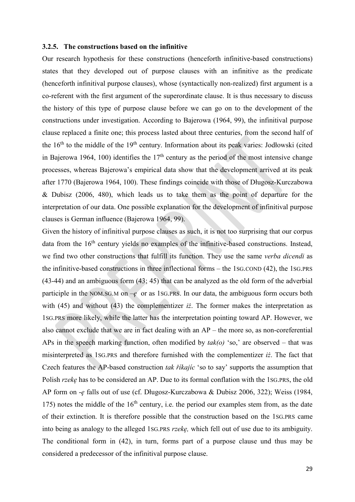## **3.2.5. The constructions based on the infinitive**

Our research hypothesis for these constructions (henceforth infinitive-based constructions) states that they developed out of purpose clauses with an infinitive as the predicate (henceforth infinitival purpose clauses), whose (syntactically non-realized) first argument is a co-referent with the first argument of the superordinate clause. It is thus necessary to discuss the history of this type of purpose clause before we can go on to the development of the constructions under investigation. According to Bajerowa (1964, 99), the infinitival purpose clause replaced a finite one; this process lasted about three centuries, from the second half of the  $16<sup>th</sup>$  to the middle of the  $19<sup>th</sup>$  century. Information about its peak varies: Jodłowski (cited in Bajerowa 1964, 100) identifies the  $17<sup>th</sup>$  century as the period of the most intensive change processes, whereas Bajerowa's empirical data show that the development arrived at its peak after 1770 (Bajerowa 1964, 100). These findings coincide with those of Długosz-Kurczabowa & Dubisz (2006, 480), which leads us to take them as the point of departure for the interpretation of our data. One possible explanation for the development of infinitival purpose clauses is German influence (Bajerowa 1964, 99).

Given the history of infinitival purpose clauses as such, it is not too surprising that our corpus data from the  $16<sup>th</sup>$  century yields no examples of the infinitive-based constructions. Instead, we find two other constructions that fulfill its function. They use the same *verba dicendi* as the infinitive-based constructions in three inflectional forms – the 1SG.COND (42), the 1SG.PRS (43-44) and an ambiguous form (43; 45) that can be analyzed as the old form of the adverbial participle in the NOM.SG.M on –*ę* or as 1SG.PRS. In our data, the ambiguous form occurs both with (45) and without (43) the complementizer *iż*. The former makes the interpretation as 1SG.PRS more likely, while the latter has the interpretation pointing toward AP. However, we also cannot exclude that we are in fact dealing with an AP – the more so, as non-coreferential APs in the speech marking function, often modified by *tak(o)* 'so,' are observed – that was misinterpreted as 1SG.PRS and therefore furnished with the complementizer *iż*. The fact that Czech features the AP-based construction *tak říkajíc* 'so to say' supports the assumption that Polish *rzekę* has to be considered an AP. Due to its formal conflation with the 1SG.PRS, the old AP form on -*ę* falls out of use (cf. Długosz-Kurczabowa & Dubisz 2006, 322); Weiss (1984, 175) notes the middle of the  $16<sup>th</sup>$  century, i.e. the period our examples stem from, as the date of their extinction. It is therefore possible that the construction based on the 1SG.PRS came into being as analogy to the alleged 1SG.PRS *rzekę,* which fell out of use due to its ambiguity. The conditional form in (42), in turn, forms part of a purpose clause und thus may be considered a predecessor of the infinitival purpose clause.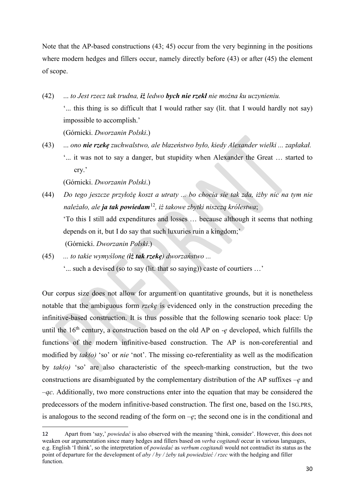Note that the AP-based constructions (43; 45) occur from the very beginning in the positions where modern hedges and fillers occur, namely directly before  $(43)$  or after  $(45)$  the element of scope.

- (42) ... *to Jest rzecz tak trudna, iż ledwo bych nie rzekł nie można ku uczynieniu.* '... this thing is so difficult that I would rather say (lit. that I would hardly not say) impossible to accomplish.' (Górnicki. *Dworzanin Polski*.)
- (43) ... *ono nie rzekę zuchwalstwo, ale błazeństwo było, kiedy Alexander wielki ... zapłakał.* '... it was not to say a danger, but stupidity when Alexander the Great … started to cry.'

(Górnicki. *Dworzanin Polski*.)

 $\overline{a}$ 

- (44) *Do tego jeszcze przyłożę koszt a utraty ... bo chocia sie tak zda, iżby nic na tym nie należało, ale ja tak powiedam*[12](#page-29-0)*, iż takowe zbytki niszczą królestwa*; 'To this I still add expenditures and losses … because although it seems that nothing depends on it, but I do say that such luxuries ruin a kingdom;' (Górnicki. *Dworzanin Polski*.)
- (45) *... to takie wymyślone (iż tak rzekę) dworzaństwo ...* '... such a devised (so to say (lit. that so saying)) caste of courtiers …'

Our corpus size does not allow for argument on quantitative grounds, but it is nonetheless notable that the ambiguous form *rzekę* is evidenced only in the construction preceding the infinitive-based construction. It is thus possible that the following scenario took place: Up until the  $16<sup>th</sup>$  century, a construction based on the old AP on  $-e$  developed, which fulfills the functions of the modern infinitive-based construction. The AP is non-coreferential and modified by *tak(o)* 'so' or *nie* 'not'. The missing co-referentiality as well as the modification by *tak(o)* 'so' are also characteristic of the speech-marking construction, but the two constructions are disambiguated by the complementary distribution of the AP suffixes –*ę* and –*ąc*. Additionally, two more constructions enter into the equation that may be considered the predecessors of the modern infinitive-based construction. The first one, based on the 1SG.PRS, is analogous to the second reading of the form on  $-e$ ; the second one is in the conditional and

<span id="page-29-0"></span><sup>12</sup> Apart from 'say,' *powiedać* is also observed with the meaning 'think, consider'. However, this does not weaken our argumentation since many hedges and fillers based on *verba cogitandi* occur in various languages, e.g. English 'I think', so the interpretation of *powiedać* as *verbum cogitandi* would not contradict its status as the point of departure for the development of *aby / by / żeby tak powiedzieć / rzec* with the hedging and filler function.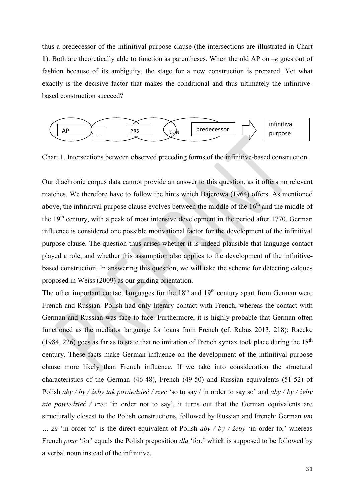thus a predecessor of the infinitival purpose clause (the intersections are illustrated in Chart 1). Both are theoretically able to function as parentheses. When the old AP on  $-e$  goes out of fashion because of its ambiguity, the stage for a new construction is prepared. Yet what exactly is the decisive factor that makes the conditional and thus ultimately the infinitivebased construction succeed?



Chart 1. Intersections between observed preceding forms of the infinitive-based construction.

Our diachronic corpus data cannot provide an answer to this question, as it offers no relevant matches. We therefore have to follow the hints which Bajerowa (1964) offers. As mentioned above, the infinitival purpose clause evolves between the middle of the  $16<sup>th</sup>$  and the middle of the 19<sup>th</sup> century, with a peak of most intensive development in the period after 1770. German influence is considered one possible motivational factor for the development of the infinitival purpose clause. The question thus arises whether it is indeed plausible that language contact played a role, and whether this assumption also applies to the development of the infinitivebased construction. In answering this question, we will take the scheme for detecting calques proposed in Weiss (2009) as our guiding orientation.

The other important contact languages for the  $18<sup>th</sup>$  and  $19<sup>th</sup>$  century apart from German were French and Russian. Polish had only literary contact with French, whereas the contact with German and Russian was face-to-face. Furthermore, it is highly probable that German often functioned as the mediator language for loans from French (cf. Rabus 2013, 218); Raecke (1984, 226) goes as far as to state that no imitation of French syntax took place during the  $18<sup>th</sup>$ century. These facts make German influence on the development of the infinitival purpose clause more likely than French influence. If we take into consideration the structural characteristics of the German (46-48), French (49-50) and Russian equivalents (51-52) of Polish *aby / by / żeby tak powiedzieć / rzec* 'so to say / in order to say so' and *aby / by / żeby nie powiedzieć / rzec* 'in order not to say', it turns out that the German equivalents are structurally closest to the Polish constructions, followed by Russian and French: German *um … zu* 'in order to' is the direct equivalent of Polish *aby / by / żeby* 'in order to,' whereas French *pour* 'for' equals the Polish preposition *dla* 'for,' which is supposed to be followed by a verbal noun instead of the infinitive.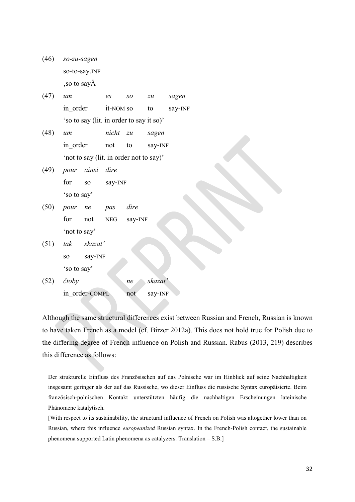| (46) | so-zu-sagen               |
|------|---------------------------|
|      | so-to-say. <sub>INF</sub> |
|      | , so to sayA              |

| (47) | um                                       | es        | SO | zu | sagen   |
|------|------------------------------------------|-----------|----|----|---------|
|      | in order                                 | it-NOM so |    | to | say-INF |
|      | 'so to say (lit. in order to say it so)' |           |    |    |         |

- (48) *um nicht zu sagen*  in order not to say-INF 'not to say (lit. in order not to say)'
- (49) *pour ainsi dire*  for so say-INF 'so to say'
- (50) *pour ne pas dire*  for not NEG say-INF 'not to say'
- (51) *tak skazat'*  so say-INF 'so to say'
- (52) *čtoby ne skazat'*  in\_order-COMPL not say-INF

Although the same structural differences exist between Russian and French, Russian is known to have taken French as a model (cf. Birzer 2012a). This does not hold true for Polish due to the differing degree of French influence on Polish and Russian. Rabus (2013, 219) describes this difference as follows:

Der strukturelle Einfluss des Französischen auf das Polnische war im Hinblick auf seine Nachhaltigkeit insgesamt geringer als der auf das Russische, wo dieser Einfluss die russische Syntax europäisierte. Beim französisch-polnischen Kontakt unterstützten häufig die nachhaltigen Erscheinungen lateinische Phänomene katalytisch.

[With respect to its sustainability, the structural influence of French on Polish was altogether lower than on Russian, where this influence *europeanized* Russian syntax. In the French-Polish contact, the sustainable phenomena supported Latin phenomena as catalyzers. Translation – S.B.]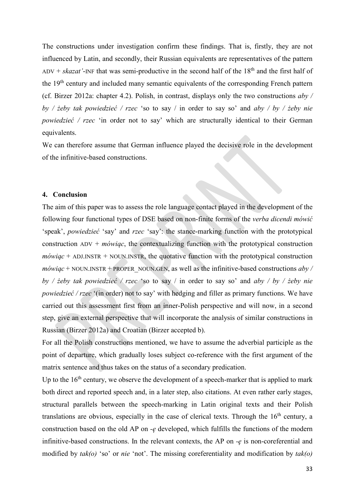The constructions under investigation confirm these findings. That is, firstly, they are not influenced by Latin, and secondly, their Russian equivalents are representatives of the pattern ADV +  $skazat'$ -INF that was semi-productive in the second half of the  $18<sup>th</sup>$  and the first half of the 19th century and included many semantic equivalents of the corresponding French pattern (cf. Birzer 2012a: chapter 4.2). Polish, in contrast, displays only the two constructions *aby / by / żeby tak powiedzieć / rzec* 'so to say / in order to say so' and *aby / by / żeby nie powiedzieć / rzec* 'in order not to say' which are structurally identical to their German equivalents.

We can therefore assume that German influence played the decisive role in the development of the infinitive-based constructions.

## **4. Conclusion**

The aim of this paper was to assess the role language contact played in the development of the following four functional types of DSE based on non-finite forms of the *verba dicendi mówić* 'speak', *powiedzieć* 'say' and *rzec* 'say': the stance-marking function with the prototypical construction ADV + *mówiąc*, the contextualizing function with the prototypical construction  $m\acute{o}wiac$  + ADJ.INSTR + NOUN.INSTR, the quotative function with the prototypical construction  $m\acute{o}wiac$  + NOUN.INSTR + PROPER\_NOUN.GEN, as well as the infinitive-based constructions  $aby /$ *by / żeby tak powiedzieć / rzec* 'so to say / in order to say so' and *aby / by / żeby nie powiedzieć / rzec* '(in order) not to say' with hedging and filler as primary functions. We have carried out this assessment first from an inner-Polish perspective and will now, in a second step, give an external perspective that will incorporate the analysis of similar constructions in Russian (Birzer 2012a) and Croatian (Birzer accepted b).

For all the Polish constructions mentioned, we have to assume the adverbial participle as the point of departure, which gradually loses subject co-reference with the first argument of the matrix sentence and thus takes on the status of a secondary predication.

Up to the  $16<sup>th</sup>$  century, we observe the development of a speech-marker that is applied to mark both direct and reported speech and, in a later step, also citations. At even rather early stages, structural parallels between the speech-marking in Latin original texts and their Polish translations are obvious, especially in the case of clerical texts. Through the  $16<sup>th</sup>$  century, a construction based on the old AP on *-ę* developed, which fulfills the functions of the modern infinitive-based constructions. In the relevant contexts, the AP on *-ę* is non-coreferential and modified by *tak(o)* 'so' or *nie* 'not'. The missing coreferentiality and modification by *tak(o)*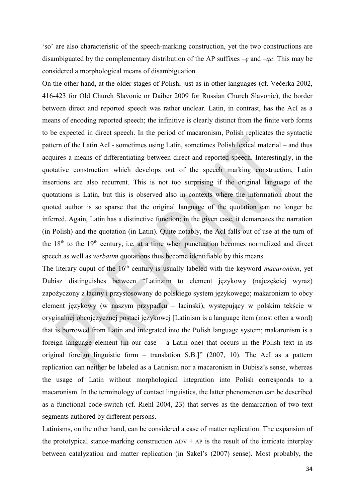'so' are also characteristic of the speech-marking construction, yet the two constructions are disambiguated by the complementary distribution of the AP suffixes –*ę* and –*ąc*. This may be considered a morphological means of disambiguation.

On the other hand, at the older stages of Polish, just as in other languages (cf. Večerka 2002, 416-423 for Old Church Slavonic or Daiber 2009 for Russian Church Slavonic), the border between direct and reported speech was rather unclear. Latin, in contrast, has the AcI as a means of encoding reported speech; the infinitive is clearly distinct from the finite verb forms to be expected in direct speech. In the period of macaronism, Polish replicates the syntactic pattern of the Latin AcI - sometimes using Latin, sometimes Polish lexical material – and thus acquires a means of differentiating between direct and reported speech. Interestingly, in the quotative construction which develops out of the speech marking construction, Latin insertions are also recurrent. This is not too surprising if the original language of the quotations is Latin, but this is observed also in contexts where the information about the quoted author is so sparse that the original language of the quotation can no longer be inferred. Again, Latin has a distinctive function; in the given case, it demarcates the narration (in Polish) and the quotation (in Latin). Quite notably, the AcI falls out of use at the turn of the  $18<sup>th</sup>$  to the  $19<sup>th</sup>$  century, i.e. at a time when punctuation becomes normalized and direct speech as well as *verbatim* quotations thus become identifiable by this means.

The literary ouput of the 16<sup>th</sup> century is usually labeled with the keyword *macaronism*, yet Dubisz distinguishes between "Latinzim to element językowy (najczęściej wyraz) zapożyczony z łaciny i przystosowany do polskiego system językowego; makaronizm to obcy element językowy (w naszym przypadku – łacinski), występujący w polskim tekście w oryginalnej obcojęzycznej postaci językowej [Latinism is a language item (most often a word) that is borrowed from Latin and integrated into the Polish language system; makaronism is a foreign language element (in our case – a Latin one) that occurs in the Polish text in its original foreign linguistic form – translation S.B.]" (2007, 10). The AcI as a pattern replication can neither be labeled as a Latinism nor a macaronism in Dubisz's sense, whereas the usage of Latin without morphological integration into Polish corresponds to a macaronism. In the terminology of contact linguistics, the latter phenomenon can be described as a functional code-switch (cf. Riehl 2004, 23) that serves as the demarcation of two text segments authored by different persons.

Latinisms, on the other hand, can be considered a case of matter replication. The expansion of the prototypical stance-marking construction  $ADV + AP$  is the result of the intricate interplay between catalyzation and matter replication (in Sakel's (2007) sense). Most probably, the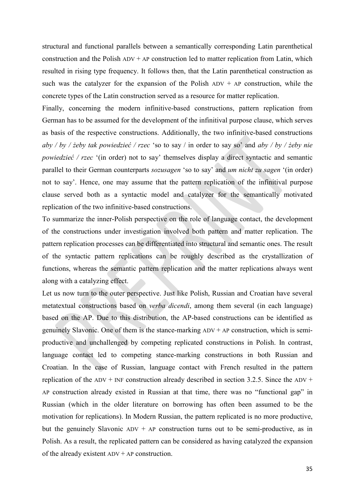structural and functional parallels between a semantically corresponding Latin parenthetical construction and the Polish  $ADV + AP$  construction led to matter replication from Latin, which resulted in rising type frequency. It follows then, that the Latin parenthetical construction as such was the catalyzer for the expansion of the Polish  $ADV + AP$  construction, while the concrete types of the Latin construction served as a resource for matter replication.

Finally, concerning the modern infinitive-based constructions, pattern replication from German has to be assumed for the development of the infinitival purpose clause, which serves as basis of the respective constructions. Additionally, the two infinitive-based constructions *aby / by / żeby tak powiedzieć / rzec* 'so to say / in order to say so' and *aby / by / żeby nie powiedzieć / rzec* '(in order) not to say' themselves display a direct syntactic and semantic parallel to their German counterparts *sozusagen* 'so to say' and *um nicht zu sagen* '(in order) not to say'. Hence, one may assume that the pattern replication of the infinitival purpose clause served both as a syntactic model and catalyzer for the semantically motivated replication of the two infinitive-based constructions.

To summarize the inner-Polish perspective on the role of language contact, the development of the constructions under investigation involved both pattern and matter replication. The pattern replication processes can be differentiated into structural and semantic ones. The result of the syntactic pattern replications can be roughly described as the crystallization of functions, whereas the semantic pattern replication and the matter replications always went along with a catalyzing effect.

Let us now turn to the outer perspective. Just like Polish, Russian and Croatian have several metatextual constructions based on *verba dicendi*, among them several (in each language) based on the AP. Due to this distribution, the AP-based constructions can be identified as genuinely Slavonic. One of them is the stance-marking  $ADV + AP$  construction, which is semiproductive and unchallenged by competing replicated constructions in Polish. In contrast, language contact led to competing stance-marking constructions in both Russian and Croatian. In the case of Russian, language contact with French resulted in the pattern replication of the  $ADV$  + INF construction already described in section 3.2.5. Since the  $ADV$  + AP construction already existed in Russian at that time, there was no "functional gap" in Russian (which in the older literature on borrowing has often been assumed to be the motivation for replications). In Modern Russian, the pattern replicated is no more productive, but the genuinely Slavonic  $ADV + AP$  construction turns out to be semi-productive, as in Polish. As a result, the replicated pattern can be considered as having catalyzed the expansion of the already existent  $ADV + AP$  construction.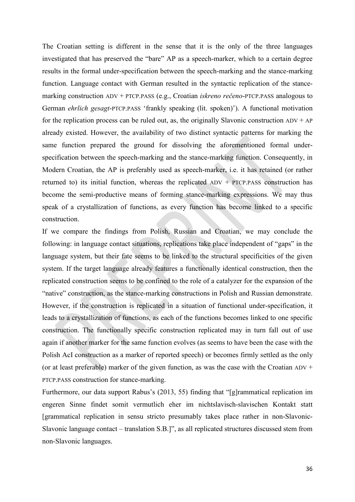The Croatian setting is different in the sense that it is the only of the three languages investigated that has preserved the "bare" AP as a speech-marker, which to a certain degree results in the formal under-specification between the speech-marking and the stance-marking function. Language contact with German resulted in the syntactic replication of the stancemarking construction ADV + PTCP.PASS (e.g., Croatian *iskreno rečeno*-PTCP.PASS analogous to German *ehrlich gesagt*-PTCP.PASS 'frankly speaking (lit. spoken)'). A functional motivation for the replication process can be ruled out, as, the originally Slavonic construction  $ADV + AP$ already existed. However, the availability of two distinct syntactic patterns for marking the same function prepared the ground for dissolving the aforementioned formal underspecification between the speech-marking and the stance-marking function. Consequently, in Modern Croatian, the AP is preferably used as speech-marker, i.e. it has retained (or rather returned to) its initial function, whereas the replicated  $ADV + PTCP.PASS$  construction has become the semi-productive means of forming stance-marking expressions. We may thus speak of a crystallization of functions, as every function has become linked to a specific construction.

If we compare the findings from Polish, Russian and Croatian, we may conclude the following: in language contact situations, replications take place independent of "gaps" in the language system, but their fate seems to be linked to the structural specificities of the given system. If the target language already features a functionally identical construction, then the replicated construction seems to be confined to the role of a catalyzer for the expansion of the "native" construction, as the stance-marking constructions in Polish and Russian demonstrate. However, if the construction is replicated in a situation of functional under-specification, it leads to a crystallization of functions, as each of the functions becomes linked to one specific construction. The functionally specific construction replicated may in turn fall out of use again if another marker for the same function evolves (as seems to have been the case with the Polish AcI construction as a marker of reported speech) or becomes firmly settled as the only (or at least preferable) marker of the given function, as was the case with the Croatian  $ADV$  + PTCP.PASS construction for stance-marking.

Furthermore, our data support Rabus's (2013, 55) finding that "[g]rammatical replication im engeren Sinne findet somit vermutlich eher im nichtslavisch-slavischen Kontakt statt [grammatical replication in sensu stricto presumably takes place rather in non-Slavonic-Slavonic language contact – translation S.B.]", as all replicated structures discussed stem from non-Slavonic languages.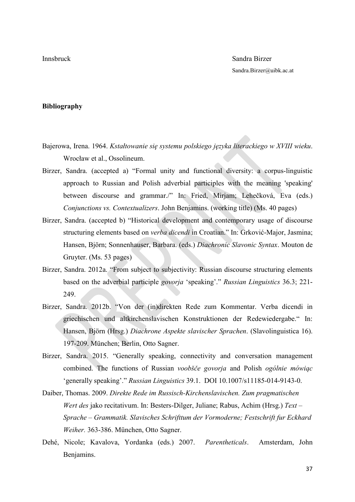## **Bibliography**

- Bajerowa, Irena. 1964. *Kstałtowanie się systemu polskiego języka literackiego w XVIII wieku*. Wrocław et al., Ossolineum.
- Birzer, Sandra. (accepted a) "Formal unity and functional diversity: a corpus-linguistic approach to Russian and Polish adverbial participles with the meaning 'speaking' between discourse and grammar./" In: Fried, Mirjam; Lehečková, Eva (eds.) *Conjunctions vs. Contextualizers*. John Benjamins. (working title) (Ms. 40 pages)
- Birzer, Sandra. (accepted b) "Historical development and contemporary usage of discourse structuring elements based on *verba dicendi* in Croatian." In: Grković-Major, Jasmina; Hansen, Björn; Sonnenhauser, Barbara. (eds.) *Diachronic Slavonic Syntax*. Mouton de Gruyter. (Ms. 53 pages)
- Birzer, Sandra. 2012a. "From subject to subjectivity: Russian discourse structuring elements based on the adverbial participle *govorja* 'speaking'." *Russian Linguistics* 36.3; 221- 249.
- Birzer, Sandra. 2012b. "Von der (in)direkten Rede zum Kommentar. Verba dicendi in griechischen und altkirchenslavischen Konstruktionen der Redewiedergabe." In: Hansen, Björn (Hrsg.) *Diachrone Aspekte slavischer Sprachen*. (Slavolinguistica 16). 197-209. München; Berlin, Otto Sagner.
- Birzer, Sandra. 2015. "Generally speaking, connectivity and conversation management combined. The functions of Russian *voobšče govorja* and Polish *ogólnie mówiąc* 'generally speaking'." *Russian Linguistics* 39.1. DOI 10.1007/s11185-014-9143-0.
- Daiber, Thomas. 2009. *Direkte Rede im Russisch-Kirchenslavischen. Zum pragmatischen Wert des* jako recitativum. In: Besters-Dilger, Juliane; Rabus, Achim (Hrsg.) *Text* – *Sprache – Grammatik. Slavisches Schrifttum der Vormoderne; Festschrift fur Eckhard Weiher.* 363-386. München, Otto Sagner.
- Dehé, Nicole; Kavalova, Yordanka (eds.) 2007. *Parentheticals*. Amsterdam, John Benjamins.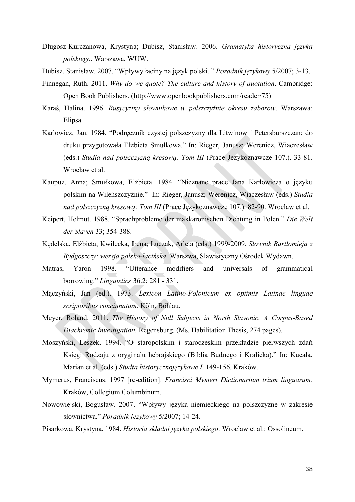- Długosz-Kurczanowa, Krystyna; Dubisz, Stanisław. 2006. *Gramatyka historyczna języka polskiego*. Warszawa, WUW.
- Dubisz, Stanisław. 2007. "Wpływy łaciny na język polski. " *Poradnik językowy* 5/2007; 3-13.
- Finnegan, Ruth. 2011. *Why do we quote? The culture and history of quotation*. Cambridge: Open Book Publishers. [\(http://www.openbookpublishers.com/reader/75](http://www.openbookpublishers.com/reader/75))
- Karaś, Halina. 1996. *Rusycyzmy słownikowe w polszczyźnie okresu zaborow*. Warszawa: Elipsa.
- Karłowicz, Jan. 1984. "Podręcznik czystej polszczyzny dla Litwinow i Petersburszczan: do druku przygotowała Elżbieta Smułkowa." In: Rieger, Janusz; Werenicz, Wiaczesław (eds.) *Studia nad polszczyzną kresową: Tom III* (Prace Językoznawcze 107.). 33-81. Wrocław et al.
- Kaupuż, Anna; Smułkowa, Elżbieta. 1984. "Nieznane prace Jana Karłowicza o języku polskim na Wileńszczyźnie." In: Rieger, Janusz; Werenicz, Wiaczesław (eds.) *Studia nad polszczyzną kresową: Tom III* (Prace Językoznawcze 107.). 82-90. Wrocław et al.
- Keipert, Helmut. 1988. "Sprachprobleme der makkaronischen Dichtung in Polen." *Die Welt der Slaven* 33; 354-388.
- [Kędelska, Elżbieta](https://www.regensburger-katalog.de/InfoGuideClient.ubrsis/search.do?methodToCall=quickSearch&Kateg=100&Content=K%C4%99delska%2C+El%C5%BCbieta); [Kwilecka, Irena;](https://www.regensburger-katalog.de/InfoGuideClient.ubrsis/search.do?methodToCall=quickSearch&Kateg=100&Content=Kwilecka%2C+Irena) Łuczak, Arleta (eds.) 1999-2009. *Słownik Bartłomieja z Bydgoszczy: wersja polsko-łacińska*. Warszwa, Slawistyczny Ośrodek Wydawn.
- Matras, Yaron 1998. "Utterance modifiers and universals of grammatical borrowing." *Linguistics* 36.2; 281 - 331.
- Mączyński, Jan (ed.). 1973. *Lexicon Latino-Polonicum ex optimis Latinae linguae scriptoribus concinnatum*. Köln, Böhlau.
- Meyer, Roland. 2011. *The History of Null Subjects in North Slavonic. A Corpus-Based Diachronic Investigation.* Regensburg. (Ms. Habilitation Thesis, 274 pages).
- Moszyński, Leszek. 1994. "O staropolskim i staroczeskim przekładzie pierwszych zdań Księgi Rodzaju z oryginału hebrajskiego (Biblia Budnego i Kralicka)." In: Kucała, Marian et al. (eds.) *Studia historycznojęzykowe I*. 149-156. Kraków.
- Mymerus, Franciscus. 1997 [re-edition]. *Francisci Mymeri Dictionarium trium linguarum*. Kraków, Collegium Columbinum.
- Nowowiejski, Bogusław. 2007. "Wpływy języka niemieckiego na polszczyznę w zakresie słownictwa." *Poradnik językowy* 5/2007; 14-24.
- Pisarkowa, Krystyna. 1984. *Historia składni języka polskiego*. Wrocław et al.: Ossolineum.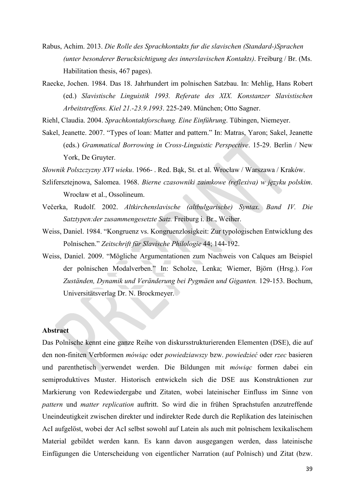- Rabus, Achim. 2013. *Die Rolle des Sprachkontakts fur die slavischen (Standard-)Sprachen (unter besonderer Berucksichtigung des innerslavischen Kontakts)*. Freiburg / Br. (Ms. Habilitation thesis, 467 pages).
- Raecke, Jochen. 1984. Das 18. Jahrhundert im polnischen Satzbau. In: Mehlig, Hans Robert (ed.) *Slavistische Linguistik 1993. Referate des XIX. Konstanzer Slavistischen Arbeitstreffens. Kiel 21.-23.9.1993*. 225-249. München; Otto Sagner.

Riehl, Claudia. 2004. *Sprachkontaktforschung. Eine Einführung*. Tübingen, Niemeyer.

Sakel, Jeanette. 2007. "Types of loan: Matter and pattern." In: Matras, Yaron; Sakel, Jeanette (eds.) *Grammatical Borrowing in Cross-Linguistic Perspective*. 15-29. Berlin / New York, De Gruyter.

*Słownik Polszczyzny XVI wieku*. 1966- . Red. Bąk, St. et al. Wrocław / Warszawa / Kraków.

- Szlifersztejnowa, Salomea. 1968. *Bierne czasowniki zaimkowe (reflexiva) w języku polskim*. Wrocław et al., Ossolineum.
- Večerka, Rudolf. 2002. *Altkirchenslavische (altbulgarische) Syntax. Band IV. Die Satztypen:der zusammengesetzte Satz.* Freiburg i. Br., Weiher.
- Weiss, Daniel. 1984. "Kongruenz vs. Kongruenzlosigkeit: Zur typologischen Entwicklung des Polnischen." *Zeitschrift für Slavische Philologie* 44; 144-192.
- Weiss, Daniel. 2009. "Mögliche Argumentationen zum Nachweis von Calques am Beispiel der polnischen Modalverben." In: Scholze, Lenka; Wiemer, Björn (Hrsg.). *Von Zuständen, Dynamik und Veränderung bei Pygmäen und Giganten.* 129-153. Bochum, Universitätsverlag Dr. N. Brockmeyer.

#### **Abstract**

Das Polnische kennt eine ganze Reihe von diskursstrukturierenden Elementen (DSE), die auf den non-finiten Verbformen *mówiąc* oder *powiedziawszy* bzw. *powiedzieć* oder *rzec* basieren und parenthetisch verwendet werden. Die Bildungen mit *mówiąc* formen dabei ein semiproduktives Muster. Historisch entwickeln sich die DSE aus Konstruktionen zur Markierung von Redewiedergabe und Zitaten, wobei lateinischer Einfluss im Sinne von *pattern* und *matter replication* auftritt. So wird die in frühen Sprachstufen anzutreffende Uneindeutigkeit zwischen direkter und indirekter Rede durch die Replikation des lateinischen AcI aufgelöst, wobei der AcI selbst sowohl auf Latein als auch mit polnischem lexikalischem Material gebildet werden kann. Es kann davon ausgegangen werden, dass lateinische Einfügungen die Unterscheidung von eigentlicher Narration (auf Polnisch) und Zitat (bzw.